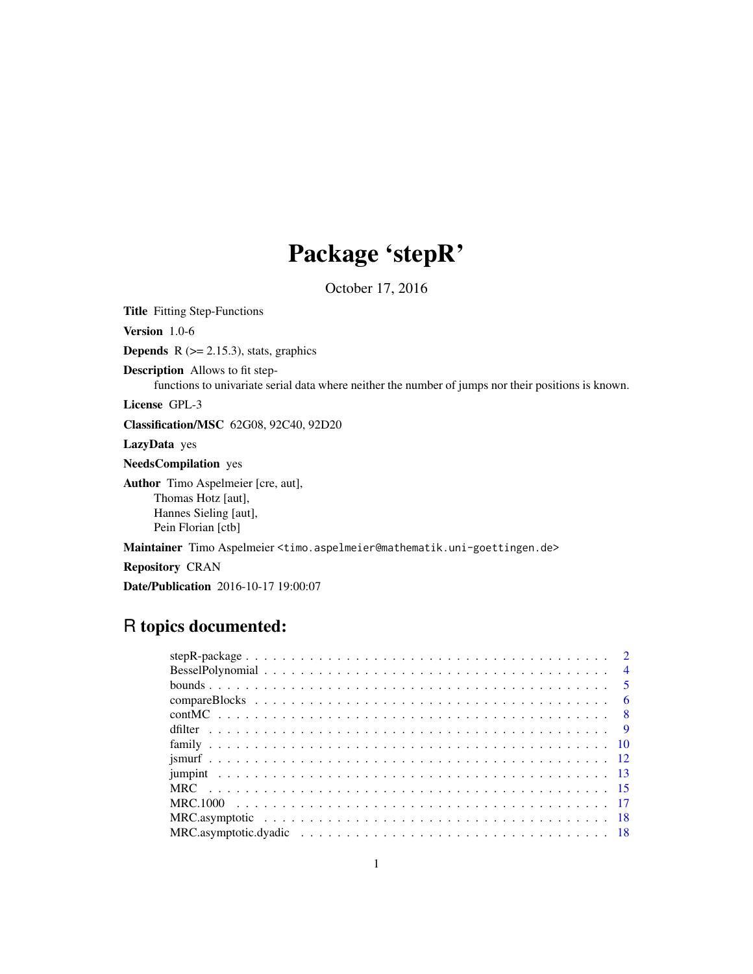# Package 'stepR'

October 17, 2016

<span id="page-0-0"></span>Title Fitting Step-Functions Version 1.0-6 **Depends** R  $(>= 2.15.3)$ , stats, graphics Description Allows to fit stepfunctions to univariate serial data where neither the number of jumps nor their positions is known. License GPL-3 Classification/MSC 62G08, 92C40, 92D20 LazyData yes NeedsCompilation yes Author Timo Aspelmeier [cre, aut], Thomas Hotz [aut], Hannes Sieling [aut], Pein Florian [ctb] Maintainer Timo Aspelmeier <timo.aspelmeier@mathematik.uni-goettingen.de> Repository CRAN Date/Publication 2016-10-17 19:00:07

# R topics documented: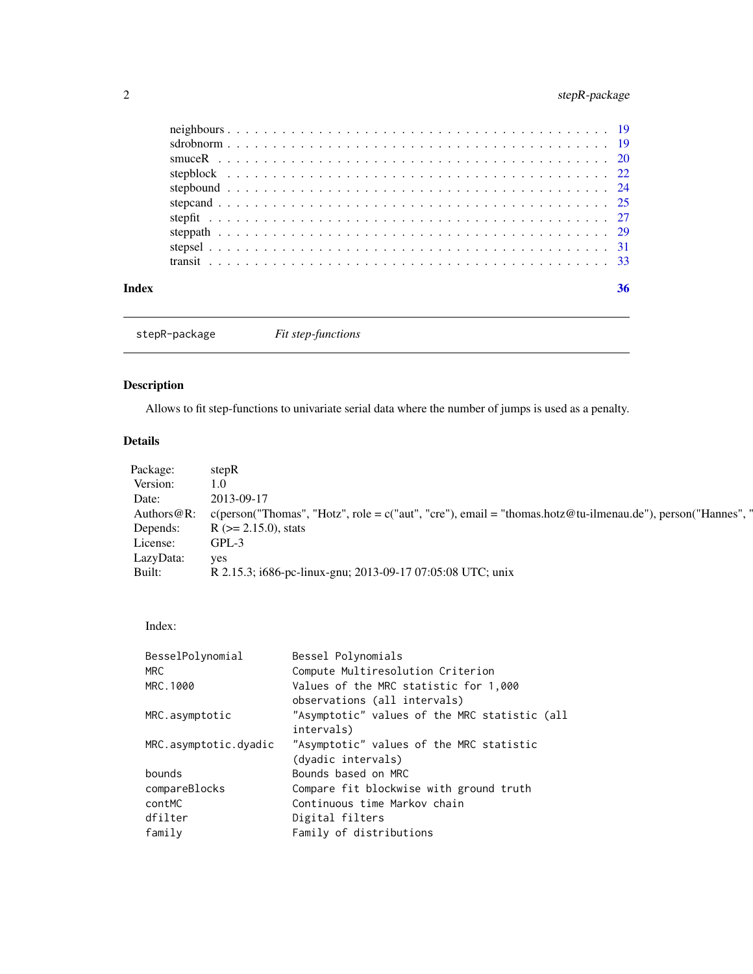# <span id="page-1-0"></span>2 stepR-package

stepR-package *Fit step-functions*

# Description

Allows to fit step-functions to univariate serial data where the number of jumps is used as a penalty.

# Details

| Package:       | stepR                                                      |
|----------------|------------------------------------------------------------|
| Version:       | $1.0^{\circ}$                                              |
| Date:          | 2013-09-17                                                 |
| Authors $@R$ : |                                                            |
| Depends:       | $R$ ( $>= 2.15.0$ ), stats                                 |
| License:       | $GPL-3$                                                    |
| LazyData:      | <b>ves</b>                                                 |
| Built:         | R 2.15.3; i686-pc-linux-gnu; 2013-09-17 07:05:08 UTC; unix |

# Index:

| BesselPolynomial      | Bessel Polynomials                            |
|-----------------------|-----------------------------------------------|
| MRC.                  | Compute Multiresolution Criterion             |
| MRC.1000              | Values of the MRC statistic for 1,000         |
|                       | observations (all intervals)                  |
| MRC.asymptotic        | "Asymptotic" values of the MRC statistic (all |
|                       | intervals)                                    |
| MRC.asymptotic.dyadic | "Asymptotic" values of the MRC statistic      |
|                       | (dyadic intervals)                            |
| bounds                | Bounds based on MRC                           |
| compareBlocks         | Compare fit blockwise with ground truth       |
| contMC                | Continuous time Markoy chain                  |
| dfilter               | Digital filters                               |
| family                | Family of distributions                       |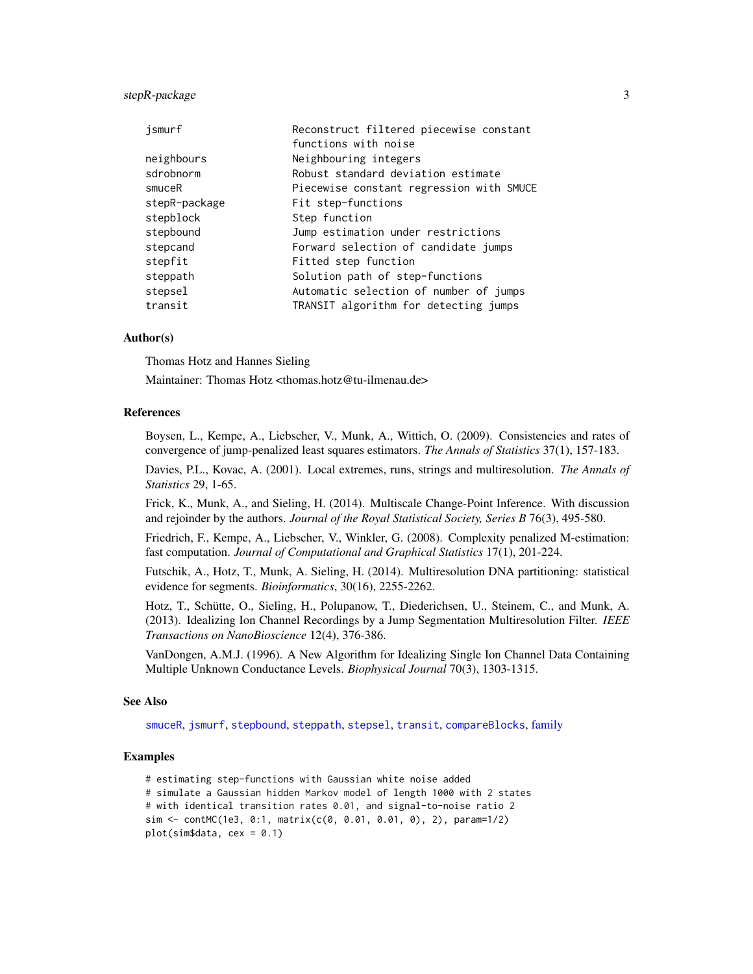# <span id="page-2-0"></span>stepR-package 3

| jsmurf        | Reconstruct filtered piecewise constant  |
|---------------|------------------------------------------|
|               | functions with noise                     |
| neighbours    | Neighbouring integers                    |
| sdrobnorm     | Robust standard deviation estimate       |
| smuceR        | Piecewise constant regression with SMUCE |
| stepR-package | Fit step-functions                       |
| stepblock     | Step function                            |
| stepbound     | Jump estimation under restrictions       |
| stepcand      | Forward selection of candidate jumps     |
| stepfit       | Fitted step function                     |
| steppath      | Solution path of step-functions          |
| stepsel       | Automatic selection of number of jumps   |
| transit       | TRANSIT algorithm for detecting jumps    |

# Author(s)

Thomas Hotz and Hannes Sieling

Maintainer: Thomas Hotz <thomas.hotz@tu-ilmenau.de>

# References

Boysen, L., Kempe, A., Liebscher, V., Munk, A., Wittich, O. (2009). Consistencies and rates of convergence of jump-penalized least squares estimators. *The Annals of Statistics* 37(1), 157-183.

Davies, P.L., Kovac, A. (2001). Local extremes, runs, strings and multiresolution. *The Annals of Statistics* 29, 1-65.

Frick, K., Munk, A., and Sieling, H. (2014). Multiscale Change-Point Inference. With discussion and rejoinder by the authors. *Journal of the Royal Statistical Society, Series B* 76(3), 495-580.

Friedrich, F., Kempe, A., Liebscher, V., Winkler, G. (2008). Complexity penalized M-estimation: fast computation. *Journal of Computational and Graphical Statistics* 17(1), 201-224.

Futschik, A., Hotz, T., Munk, A. Sieling, H. (2014). Multiresolution DNA partitioning: statistical evidence for segments. *Bioinformatics*, 30(16), 2255-2262.

Hotz, T., Schütte, O., Sieling, H., Polupanow, T., Diederichsen, U., Steinem, C., and Munk, A. (2013). Idealizing Ion Channel Recordings by a Jump Segmentation Multiresolution Filter. *IEEE Transactions on NanoBioscience* 12(4), 376-386.

VanDongen, A.M.J. (1996). A New Algorithm for Idealizing Single Ion Channel Data Containing Multiple Unknown Conductance Levels. *Biophysical Journal* 70(3), 1303-1315.

#### See Also

[smuceR](#page-19-1), [jsmurf](#page-11-1), [stepbound](#page-23-1), [steppath](#page-28-1), [stepsel](#page-30-1), [transit](#page-32-1), [compareBlocks](#page-5-1), [family](#page-9-1)

```
# estimating step-functions with Gaussian white noise added
# simulate a Gaussian hidden Markov model of length 1000 with 2 states
# with identical transition rates 0.01, and signal-to-noise ratio 2
sim < contMC(1e3, 0:1, matrix(c(0, 0.01, 0.01, 0), 2), param=1/2)
plot(sim$data, cex = 0.1)
```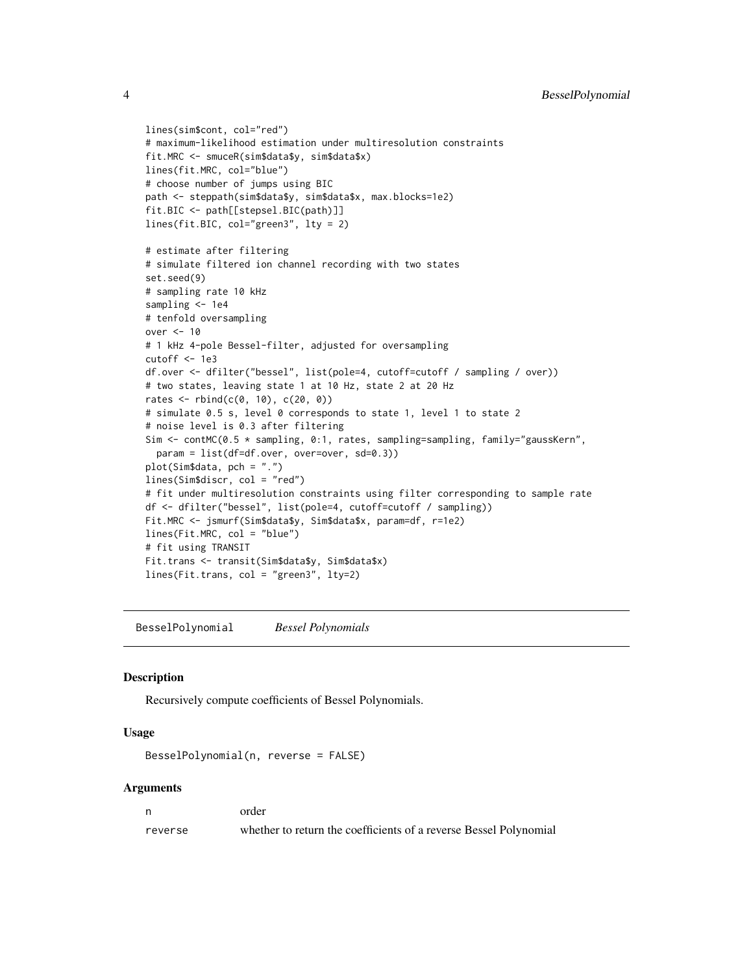```
lines(sim$cont, col="red")
# maximum-likelihood estimation under multiresolution constraints
fit.MRC <- smuceR(sim$data$y, sim$data$x)
lines(fit.MRC, col="blue")
# choose number of jumps using BIC
path <- steppath(sim$data$y, sim$data$x, max.blocks=1e2)
fit.BIC <- path[[stepsel.BIC(path)]]
lines(fit.BIC, col="green3", lty = 2)
# estimate after filtering
# simulate filtered ion channel recording with two states
set.seed(9)
# sampling rate 10 kHz
sampling <- 1e4
# tenfold oversampling
over <- 10
# 1 kHz 4-pole Bessel-filter, adjusted for oversampling
cutoff <- 1e3
df.over <- dfilter("bessel", list(pole=4, cutoff=cutoff / sampling / over))
# two states, leaving state 1 at 10 Hz, state 2 at 20 Hz
rates <- rbind(c(0, 10), c(20, 0))
# simulate 0.5 s, level 0 corresponds to state 1, level 1 to state 2
# noise level is 0.3 after filtering
Sim <- contMC(0.5 * sampling, 0:1, rates, sampling=sampling, family="gaussKern",
  param = list(df=df.over, over=over, sd=0.3))
plot(Sim$data, pch = ".")
lines(Sim$discr, col = "red")
# fit under multiresolution constraints using filter corresponding to sample rate
df <- dfilter("bessel", list(pole=4, cutoff=cutoff / sampling))
Fit.MRC <- jsmurf(Sim$data$y, Sim$data$x, param=df, r=1e2)
lines(Fit.MRC, col = "blue")
# fit using TRANSIT
Fit.trans <- transit(Sim$data$y, Sim$data$x)
lines(Fit.trans, col = "green3", lty=2)
```
<span id="page-3-1"></span>BesselPolynomial *Bessel Polynomials*

# **Description**

Recursively compute coefficients of Bessel Polynomials.

#### Usage

```
BesselPolynomial(n, reverse = FALSE)
```
#### Arguments

n order

reverse whether to return the coefficients of a reverse Bessel Polynomial

<span id="page-3-0"></span>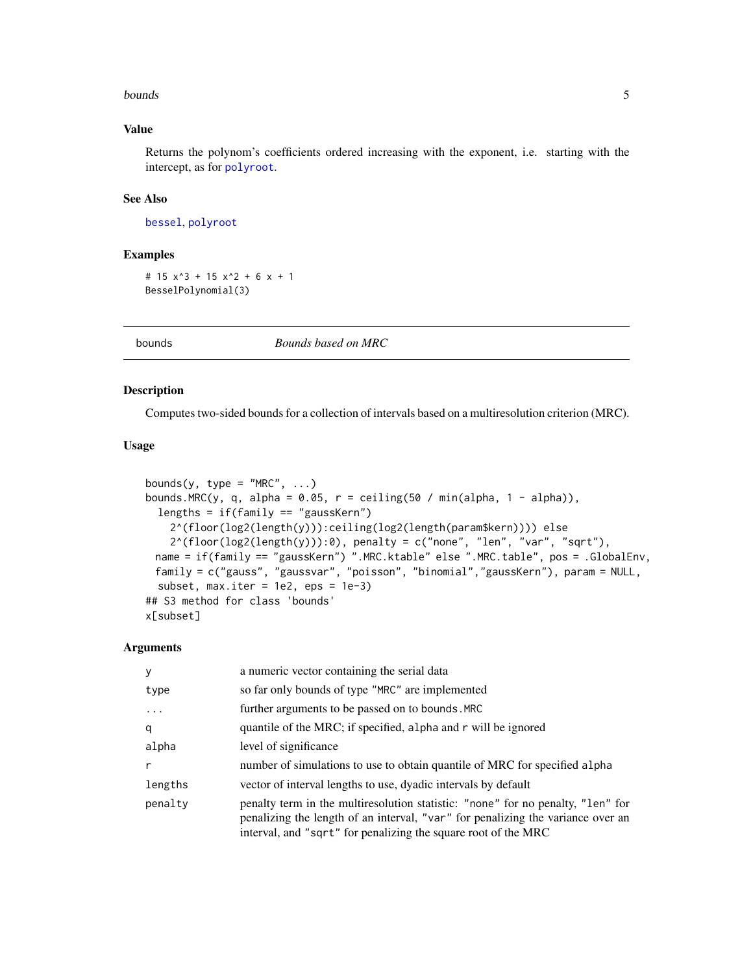#### <span id="page-4-0"></span>bounds 5 and 5 and 5 and 5 and 5 and 5 and 5 and 5 and 5 and 5 and 5 and 5 and 5 and 5 and 5 and 5 and 5 and 5 and 5 and 5 and 5 and 5 and 5 and 5 and 5 and 5 and 5 and 5 and 5 and 5 and 5 and 5 and 5 and 5 and 5 and 5 and

# Value

Returns the polynom's coefficients ordered increasing with the exponent, i.e. starting with the intercept, as for [polyroot](#page-0-0).

# See Also

[bessel](#page-0-0), [polyroot](#page-0-0)

# Examples

```
# 15 x^3 + 15 x^2 + 6 x + 1
BesselPolynomial(3)
```
<span id="page-4-1"></span>

bounds *Bounds based on MRC*

#### Description

Computes two-sided bounds for a collection of intervals based on a multiresolution criterion (MRC).

# Usage

```
bounds(y, type = "MRC", \ldots)
bounds.MRC(y, q, alpha = 0.05, r = ceiling(50 / min(alpha, 1 - alpha)),
  lengths = if(family == "gaussKern")2^(floor(log2(length(y))):ceiling(log2(length(param$kern)))) else
    2^{(floor(\log 2(\text{length}(y))):\emptyset)}, penalty = c("none", "len", "var", "sqrt"),
 name = if(family == "gaussKern") ".MRC.ktable" else ".MRC.table", pos = .GlobalEnv,
 family = c("gauss", "gaussvar", "poisson", "binomial","gaussKern"), param = NULL,
  subset, max.iter = 1e^2, eps = 1e-3)
## S3 method for class 'bounds'
x[subset]
```
# Arguments

| y        | a numeric vector containing the serial data                                                                                                                                                                                          |
|----------|--------------------------------------------------------------------------------------------------------------------------------------------------------------------------------------------------------------------------------------|
| type     | so far only bounds of type "MRC" are implemented                                                                                                                                                                                     |
| $\ddots$ | further arguments to be passed on to bounds. MRC                                                                                                                                                                                     |
| q        | quantile of the MRC; if specified, alpha and r will be ignored                                                                                                                                                                       |
| alpha    | level of significance                                                                                                                                                                                                                |
| r        | number of simulations to use to obtain quantile of MRC for specified alpha                                                                                                                                                           |
| lengths  | vector of interval lengths to use, dyadic intervals by default                                                                                                                                                                       |
| penalty  | penalty term in the multiresolution statistic: "none" for no penalty, "len" for<br>penalizing the length of an interval, "var" for penalizing the variance over an<br>interval, and "sqrt" for penalizing the square root of the MRC |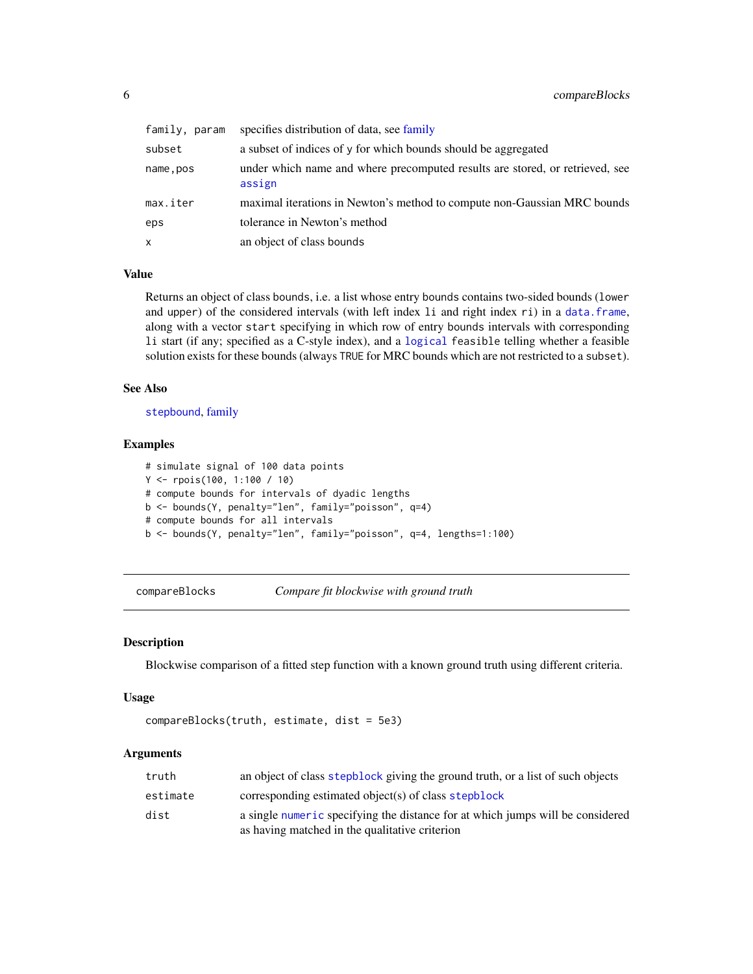<span id="page-5-0"></span>

| family, param | specifies distribution of data, see family                                             |
|---------------|----------------------------------------------------------------------------------------|
| subset        | a subset of indices of y for which bounds should be aggregated                         |
| name.pos      | under which name and where precomputed results are stored, or retrieved, see<br>assign |
| max.iter      | maximal iterations in Newton's method to compute non-Gaussian MRC bounds               |
| eps           | tolerance in Newton's method                                                           |
| x             | an object of class bounds                                                              |
|               |                                                                                        |

# Value

Returns an object of class bounds, i.e. a list whose entry bounds contains two-sided bounds (lower and upper) of the considered intervals (with left index 1i and right index ri) in a [data.frame](#page-0-0), along with a vector start specifying in which row of entry bounds intervals with corresponding li start (if any; specified as a C-style index), and a [logical](#page-0-0) feasible telling whether a feasible solution exists for these bounds (always TRUE for MRC bounds which are not restricted to a subset).

#### See Also

[stepbound](#page-23-1), [family](#page-9-1)

#### Examples

```
# simulate signal of 100 data points
Y <- rpois(100, 1:100 / 10)
# compute bounds for intervals of dyadic lengths
b <- bounds(Y, penalty="len", family="poisson", q=4)
# compute bounds for all intervals
b <- bounds(Y, penalty="len", family="poisson", q=4, lengths=1:100)
```
<span id="page-5-1"></span>compareBlocks *Compare fit blockwise with ground truth*

# Description

Blockwise comparison of a fitted step function with a known ground truth using different criteria.

#### Usage

```
compareBlocks(truth, estimate, dist = 5e3)
```
#### Arguments

| truth    | an object of class stepblock giving the ground truth, or a list of such objects                                                  |
|----------|----------------------------------------------------------------------------------------------------------------------------------|
| estimate | corresponding estimated object(s) of class stepblock                                                                             |
| dist     | a single numeric specifying the distance for at which jumps will be considered<br>as having matched in the qualitative criterion |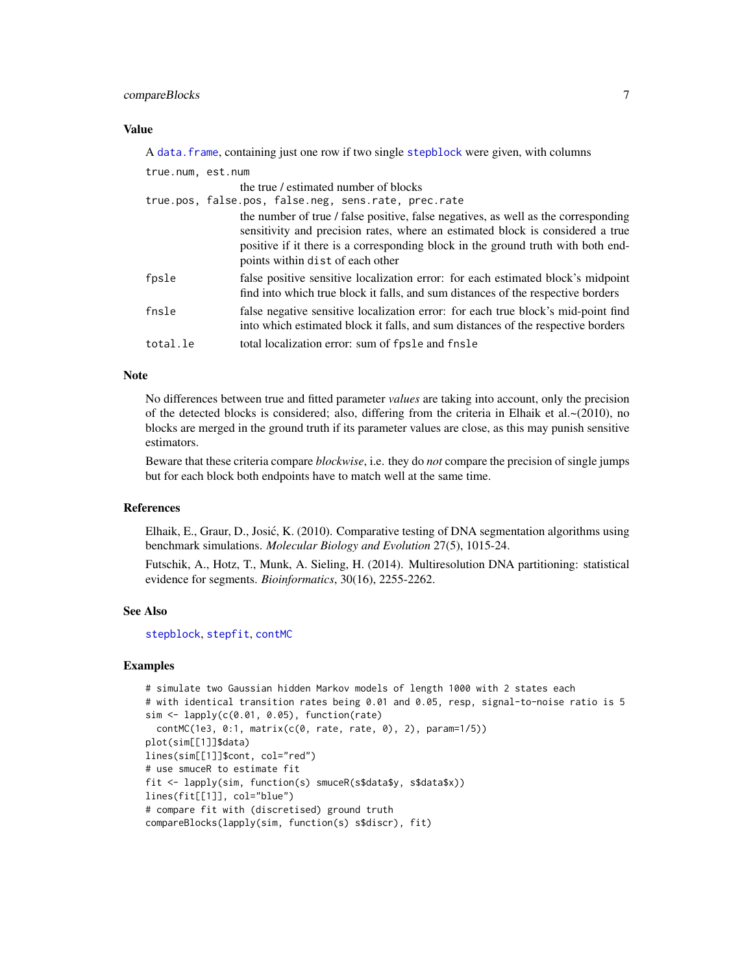# <span id="page-6-0"></span>compareBlocks 7

# Value

|                   | A data. frame, containing just one row if two single stepblock were given, with columns                                                                                                                                                                                                      |
|-------------------|----------------------------------------------------------------------------------------------------------------------------------------------------------------------------------------------------------------------------------------------------------------------------------------------|
| true.num, est.num |                                                                                                                                                                                                                                                                                              |
|                   | the true / estimated number of blocks                                                                                                                                                                                                                                                        |
|                   | true.pos, false.pos, false.neg, sens.rate, prec.rate                                                                                                                                                                                                                                         |
|                   | the number of true / false positive, false negatives, as well as the corresponding<br>sensitivity and precision rates, where an estimated block is considered a true<br>positive if it there is a corresponding block in the ground truth with both end-<br>points within dist of each other |
| fpsle             | false positive sensitive localization error: for each estimated block's midpoint<br>find into which true block it falls, and sum distances of the respective borders                                                                                                                         |
| fnsle             | false negative sensitive localization error: for each true block's mid-point find<br>into which estimated block it falls, and sum distances of the respective borders                                                                                                                        |
| total.le          | total localization error: sum of fpsle and fnsle                                                                                                                                                                                                                                             |

#### Note

No differences between true and fitted parameter *values* are taking into account, only the precision of the detected blocks is considered; also, differing from the criteria in Elhaik et al. $\sim$ (2010), no blocks are merged in the ground truth if its parameter values are close, as this may punish sensitive estimators.

Beware that these criteria compare *blockwise*, i.e. they do *not* compare the precision of single jumps but for each block both endpoints have to match well at the same time.

# References

Elhaik, E., Graur, D., Josic, K. (2010). Comparative testing of DNA segmentation algorithms using ´ benchmark simulations. *Molecular Biology and Evolution* 27(5), 1015-24.

Futschik, A., Hotz, T., Munk, A. Sieling, H. (2014). Multiresolution DNA partitioning: statistical evidence for segments. *Bioinformatics*, 30(16), 2255-2262.

#### See Also

[stepblock](#page-21-1), [stepfit](#page-26-1), [contMC](#page-7-1)

```
# simulate two Gaussian hidden Markov models of length 1000 with 2 states each
# with identical transition rates being 0.01 and 0.05, resp, signal-to-noise ratio is 5
sim <- lapply(c(0.01, 0.05), function(rate)
 contMC(1e3, 0:1, matrix(c(0, rate, rate, 0), 2), param=1/5))
plot(sim[[1]]$data)
lines(sim[[1]]$cont, col="red")
# use smuceR to estimate fit
fit <- lapply(sim, function(s) smuceR(s$data$y, s$data$x))
lines(fit[[1]], col="blue")
# compare fit with (discretised) ground truth
compareBlocks(lapply(sim, function(s) s$discr), fit)
```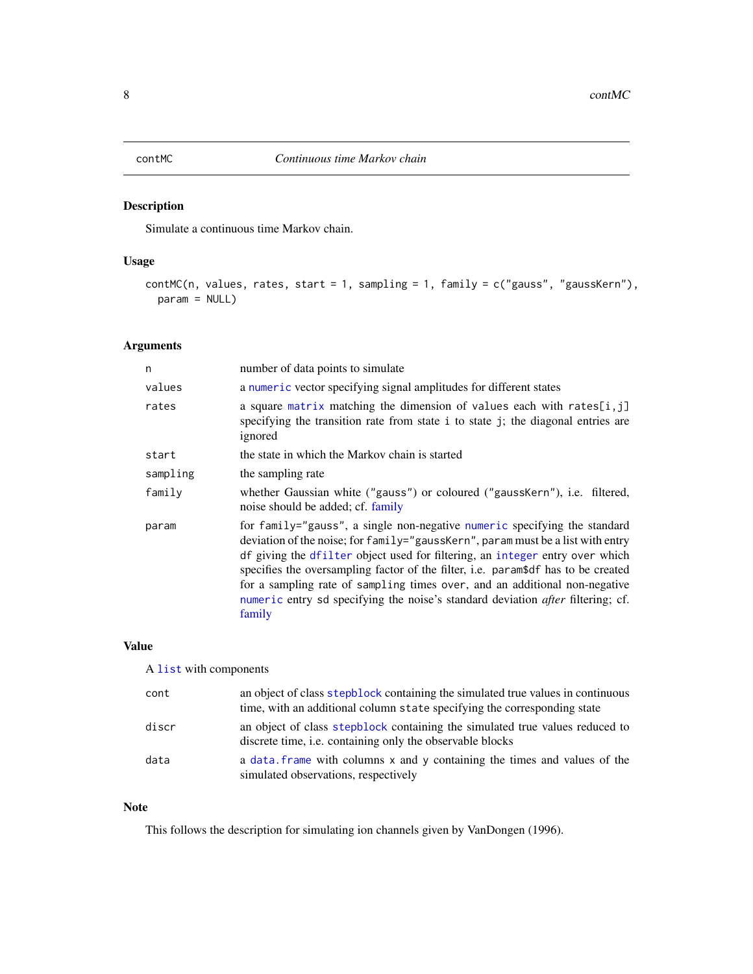# <span id="page-7-1"></span><span id="page-7-0"></span>Description

Simulate a continuous time Markov chain.

# Usage

```
contMC(n, values, rates, start = 1, sampling = 1, family = c("gauss", "gaussKern"),
 param = NULL)
```
# Arguments

| n        | number of data points to simulate                                                                                                                                                                                                                                                                                                                                                                                                                                                                             |
|----------|---------------------------------------------------------------------------------------------------------------------------------------------------------------------------------------------------------------------------------------------------------------------------------------------------------------------------------------------------------------------------------------------------------------------------------------------------------------------------------------------------------------|
| values   | a numeric vector specifying signal amplitudes for different states                                                                                                                                                                                                                                                                                                                                                                                                                                            |
| rates    | a square matrix matching the dimension of values each with rates[i,j]<br>specifying the transition rate from state i to state j; the diagonal entries are<br>ignored                                                                                                                                                                                                                                                                                                                                          |
| start    | the state in which the Markov chain is started                                                                                                                                                                                                                                                                                                                                                                                                                                                                |
| sampling | the sampling rate                                                                                                                                                                                                                                                                                                                                                                                                                                                                                             |
| family   | whether Gaussian white ("gauss") or coloured ("gaussKern"), i.e. filtered,<br>noise should be added; cf. family                                                                                                                                                                                                                                                                                                                                                                                               |
| param    | for family="gauss", a single non-negative numeric specifying the standard<br>deviation of the noise; for family="gaussKern", param must be a list with entry<br>df giving the dfilter object used for filtering, an integer entry over which<br>specifies the oversampling factor of the filter, i.e. paramstand has to be created<br>for a sampling rate of sampling times over, and an additional non-negative<br>numeric entry sd specifying the noise's standard deviation after filtering; cf.<br>family |

# Value

A [list](#page-0-0) with components

| cont  | an object of class stepblock containing the simulated true values in continuous<br>time, with an additional column state specifying the corresponding state |
|-------|-------------------------------------------------------------------------------------------------------------------------------------------------------------|
| discr | an object of class stepblock containing the simulated true values reduced to<br>discrete time, <i>i.e.</i> containing only the observable blocks            |
| data  | a data. frame with columns x and y containing the times and values of the<br>simulated observations, respectively                                           |

# Note

This follows the description for simulating ion channels given by VanDongen (1996).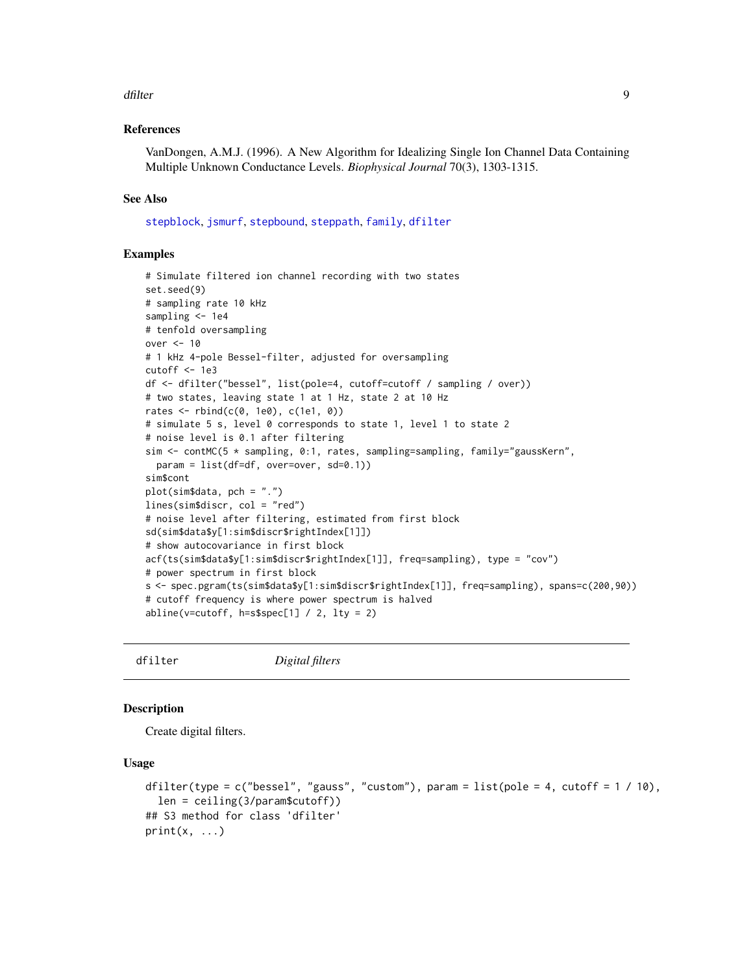#### <span id="page-8-0"></span>dfilter the control of the control of the control of the control of the control of the control of the control of the control of the control of the control of the control of the control of the control of the control of the

# References

VanDongen, A.M.J. (1996). A New Algorithm for Idealizing Single Ion Channel Data Containing Multiple Unknown Conductance Levels. *Biophysical Journal* 70(3), 1303-1315.

# See Also

[stepblock](#page-21-1), [jsmurf](#page-11-1), [stepbound](#page-23-1), [steppath](#page-28-1), [family](#page-9-1), [dfilter](#page-8-1)

# Examples

```
# Simulate filtered ion channel recording with two states
set.seed(9)
# sampling rate 10 kHz
sampling <- 1e4
# tenfold oversampling
over <- 10
# 1 kHz 4-pole Bessel-filter, adjusted for oversampling
cutoff <- 1e3
df <- dfilter("bessel", list(pole=4, cutoff=cutoff / sampling / over))
# two states, leaving state 1 at 1 Hz, state 2 at 10 Hz
rates <- rbind(c(0, 1e0), c(1e1, 0))
# simulate 5 s, level 0 corresponds to state 1, level 1 to state 2
# noise level is 0.1 after filtering
sim <- contMC(5 * sampling, 0:1, rates, sampling=sampling, family="gaussKern",
  param = list(df=df, over=over, sd=0.1))
sim$cont
plot(sim$data, pch = ".")
lines(sim$discr, col = "red")
# noise level after filtering, estimated from first block
sd(sim$data$y[1:sim$discr$rightIndex[1]])
# show autocovariance in first block
acf(ts(sim$data$y[1:sim$discr$rightIndex[1]], freq=sampling), type = "cov")
# power spectrum in first block
s <- spec.pgram(ts(sim$data$y[1:sim$discr$rightIndex[1]], freq=sampling), spans=c(200,90))
# cutoff frequency is where power spectrum is halved
abline(v=cutoff, h=s$spec[1] / 2, lty = 2)
```
<span id="page-8-1"></span>

dfilter *Digital filters*

#### **Description**

Create digital filters.

# Usage

```
dfilter(type = c("bessel", "gauss", "custom"), param = list(pole = 4, cutoff = 1 / 10),
  len = ceiling(3/param$cutoff))
## S3 method for class 'dfilter'
print(x, \ldots)
```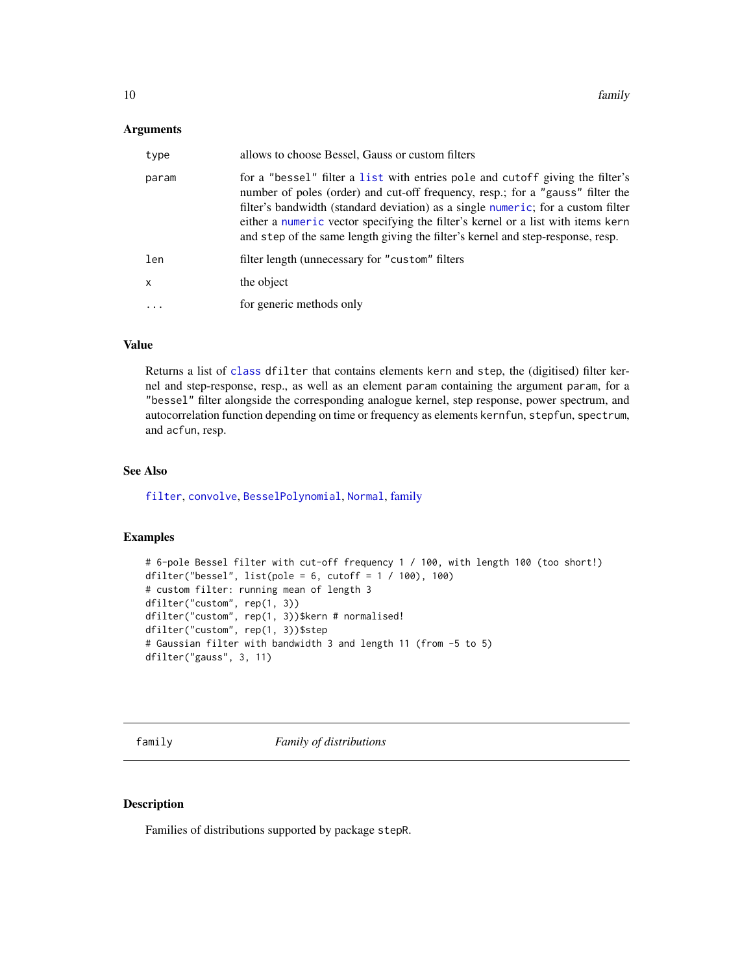#### <span id="page-9-0"></span>**Arguments**

| type         | allows to choose Bessel, Gauss or custom filters                                                                                                                                                                                                                                                                                                                                                                           |
|--------------|----------------------------------------------------------------------------------------------------------------------------------------------------------------------------------------------------------------------------------------------------------------------------------------------------------------------------------------------------------------------------------------------------------------------------|
| param        | for a "bessel" filter a list with entries pole and cutoff giving the filter's<br>number of poles (order) and cut-off frequency, resp.; for a "gauss" filter the<br>filter's bandwidth (standard deviation) as a single numeric; for a custom filter<br>either a numeric vector specifying the filter's kernel or a list with items kern<br>and step of the same length giving the filter's kernel and step-response, resp. |
| len          | filter length (unnecessary for "custom" filters                                                                                                                                                                                                                                                                                                                                                                            |
| $\mathsf{x}$ | the object                                                                                                                                                                                                                                                                                                                                                                                                                 |
|              | for generic methods only                                                                                                                                                                                                                                                                                                                                                                                                   |

# Value

Returns a list of [class](#page-0-0) dfilter that contains elements kern and step, the (digitised) filter kernel and step-response, resp., as well as an element param containing the argument param, for a "bessel" filter alongside the corresponding analogue kernel, step response, power spectrum, and autocorrelation function depending on time or frequency as elements kernfun, stepfun, spectrum, and acfun, resp.

#### See Also

[filter](#page-0-0), [convolve](#page-0-0), [BesselPolynomial](#page-3-1), [Normal](#page-0-0), [family](#page-9-1)

### Examples

```
# 6-pole Bessel filter with cut-off frequency 1 / 100, with length 100 (too short!)
dfilter("bessel", list(pole = 6, cutoff = 1 / 100), 100)
# custom filter: running mean of length 3
dfilter("custom", rep(1, 3))
dfilter("custom", rep(1, 3))$kern # normalised!
dfilter("custom", rep(1, 3))$step
# Gaussian filter with bandwidth 3 and length 11 (from -5 to 5)
dfilter("gauss", 3, 11)
```
<span id="page-9-1"></span>family *Family of distributions*

# Description

Families of distributions supported by package stepR.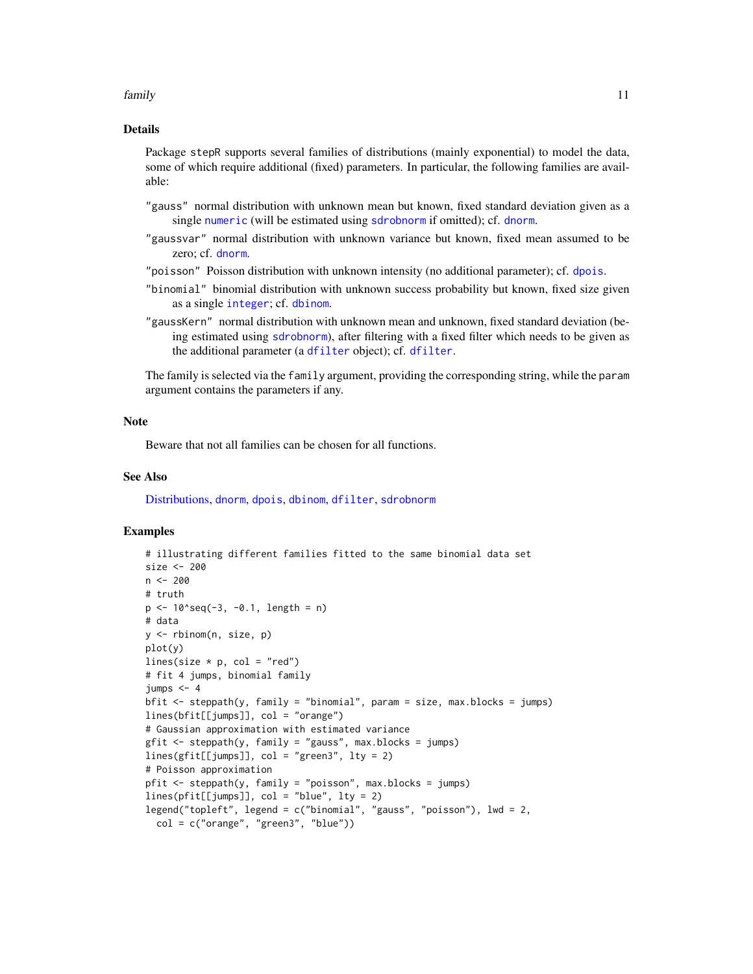#### <span id="page-10-0"></span>family the contract of the contract of the contract of the contract of the contract of the contract of the contract of the contract of the contract of the contract of the contract of the contract of the contract of the con

#### Details

Package stepR supports several families of distributions (mainly exponential) to model the data, some of which require additional (fixed) parameters. In particular, the following families are available:

- "gauss" normal distribution with unknown mean but known, fixed standard deviation given as a single [numeric](#page-0-0) (will be estimated using [sdrobnorm](#page-18-1) if omitted); cf. [dnorm](#page-0-0).
- "gaussvar" normal distribution with unknown variance but known, fixed mean assumed to be zero; cf. [dnorm](#page-0-0).
- "poisson" Poisson distribution with unknown intensity (no additional parameter); cf. [dpois](#page-0-0).
- "binomial" binomial distribution with unknown success probability but known, fixed size given as a single [integer](#page-0-0); cf. [dbinom](#page-0-0).
- "gaussKern" normal distribution with unknown mean and unknown, fixed standard deviation (being estimated using [sdrobnorm](#page-18-1)), after filtering with a fixed filter which needs to be given as the additional parameter (a [dfilter](#page-8-1) object); cf. [dfilter](#page-8-1).

The family is selected via the family argument, providing the corresponding string, while the param argument contains the parameters if any.

#### Note

Beware that not all families can be chosen for all functions.

#### See Also

[Distributions,](#page-0-0) [dnorm](#page-0-0), [dpois](#page-0-0), [dbinom](#page-0-0), [dfilter](#page-8-1), [sdrobnorm](#page-18-1)

```
# illustrating different families fitted to the same binomial data set
size <- 200
n <- 200
# truth
p \le -10^seq(-3, -0.1, length = n)
# data
y <- rbinom(n, size, p)
plot(y)
lines(size * p, col = "red")
# fit 4 jumps, binomial family
jumps < -4bfit <- steppath(y, family = "binomial", param = size, max.blocks = jumps)
lines(bfit[[jumps]], col = "orange")
# Gaussian approximation with estimated variance
gfit \leftarrow steppath(y, family = "gauss", max.blocks = jumps)lines(gfit[[jumps]], col = "green3", lty = 2)# Poisson approximation
pfit <- steppath(y, family = "poisson", max.blocks = jumps)
lines(pfit[[jumps]], col = "blue", lty = 2)
legend("topleft", legend = c("binomial", "gauss", "poisson"), lwd = 2,
  col = c("orange", "green3", "blue")
```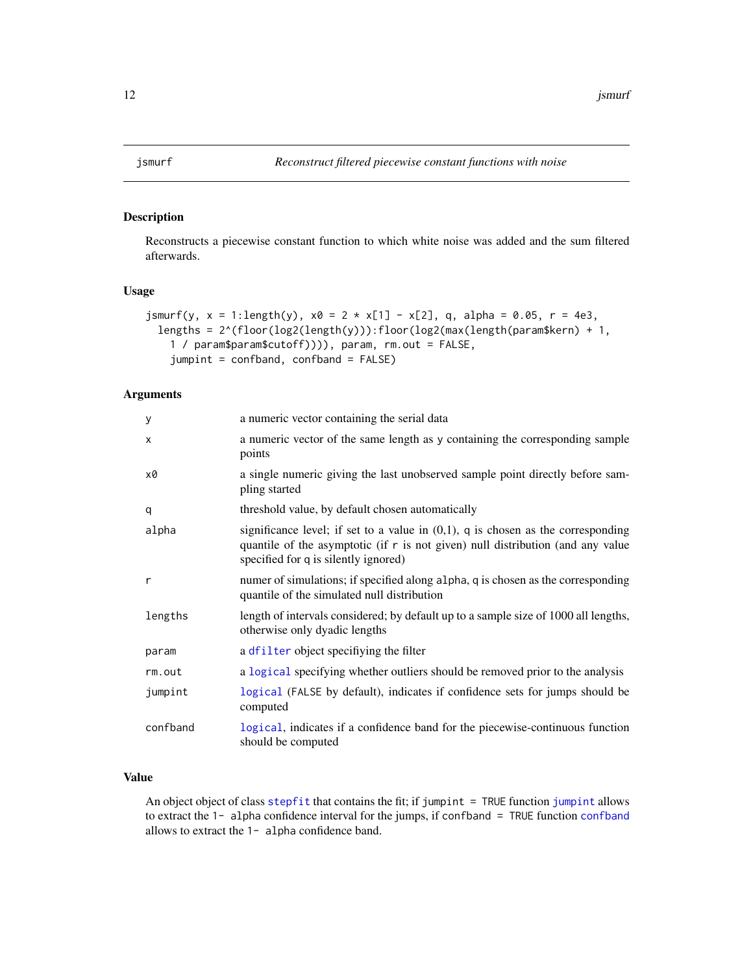<span id="page-11-1"></span><span id="page-11-0"></span>

# Description

Reconstructs a piecewise constant function to which white noise was added and the sum filtered afterwards.

# Usage

```
jsmurf(y, x = 1:length(y), x0 = 2 \times x[1] - x[2], q, alpha = 0.05, r = 4e3,
 lengths = 2^(floor(log2(length(y))):floor(log2(max(length(param$kern) + 1,
    1 / param$param$cutoff)))), param, rm.out = FALSE,
    jumpint = confband, confband = FALSE)
```
# Arguments

| У        | a numeric vector containing the serial data                                                                                                                                                                    |
|----------|----------------------------------------------------------------------------------------------------------------------------------------------------------------------------------------------------------------|
| X        | a numeric vector of the same length as y containing the corresponding sample<br>points                                                                                                                         |
| x0       | a single numeric giving the last unobserved sample point directly before sam-<br>pling started                                                                                                                 |
| q        | threshold value, by default chosen automatically                                                                                                                                                               |
| alpha    | significance level; if set to a value in $(0,1)$ , q is chosen as the corresponding<br>quantile of the asymptotic (if r is not given) null distribution (and any value<br>specified for q is silently ignored) |
| r        | numer of simulations; if specified along alpha, q is chosen as the corresponding<br>quantile of the simulated null distribution                                                                                |
| lengths  | length of intervals considered; by default up to a sample size of 1000 all lengths,<br>otherwise only dyadic lengths                                                                                           |
| param    | a dfilter object specifiying the filter                                                                                                                                                                        |
| rm.out   | a logical specifying whether outliers should be removed prior to the analysis                                                                                                                                  |
| jumpint  | logical (FALSE by default), indicates if confidence sets for jumps should be<br>computed                                                                                                                       |
| confband | logical, indicates if a confidence band for the piecewise-continuous function<br>should be computed                                                                                                            |

# Value

An object object of class [stepfit](#page-26-1) that contains the fit; if [jumpint](#page-12-1) = TRUE function jumpint allows to extract the 1- alpha confidence interval for the jumps, if [confband](#page-12-2) = TRUE function confband allows to extract the 1- alpha confidence band.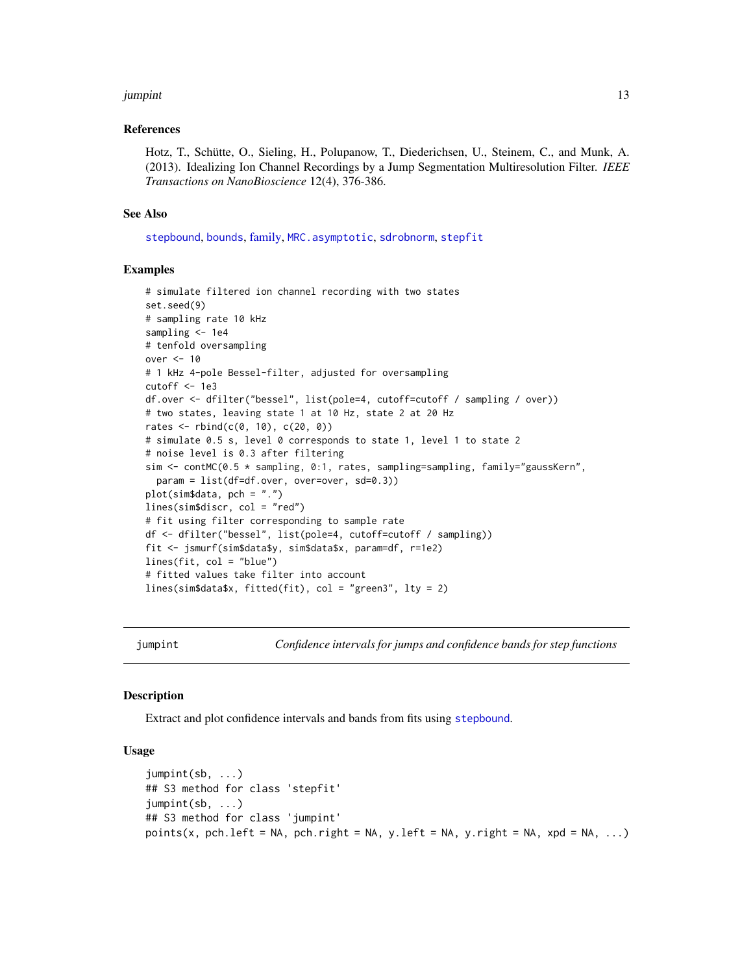#### <span id="page-12-0"></span>jumpint 13

#### References

Hotz, T., Schütte, O., Sieling, H., Polupanow, T., Diederichsen, U., Steinem, C., and Munk, A. (2013). Idealizing Ion Channel Recordings by a Jump Segmentation Multiresolution Filter. *IEEE Transactions on NanoBioscience* 12(4), 376-386.

#### See Also

[stepbound](#page-23-1), [bounds](#page-4-1), [family,](#page-9-1) [MRC.asymptotic](#page-17-1), [sdrobnorm](#page-18-1), [stepfit](#page-26-1)

# Examples

```
# simulate filtered ion channel recording with two states
set.seed(9)
# sampling rate 10 kHz
sampling <- 1e4
# tenfold oversampling
over <- 10
# 1 kHz 4-pole Bessel-filter, adjusted for oversampling
cutoff <- 1e3
df.over <- dfilter("bessel", list(pole=4, cutoff=cutoff / sampling / over))
# two states, leaving state 1 at 10 Hz, state 2 at 20 Hz
rates <- rbind(c(0, 10), c(20, 0))
# simulate 0.5 s, level 0 corresponds to state 1, level 1 to state 2
# noise level is 0.3 after filtering
sim <- contMC(0.5 * sampling, 0:1, rates, sampling=sampling, family="gaussKern",
  param = list(df=df.over, over=over, sd=0.3))
plot(sim$data, pch = ".")
lines(sim$discr, col = "red")
# fit using filter corresponding to sample rate
df <- dfilter("bessel", list(pole=4, cutoff=cutoff / sampling))
fit <- jsmurf(sim$data$y, sim$data$x, param=df, r=1e2)
lines(fit, col = "blue")
# fitted values take filter into account
lines(sim$data$x, fitted(fit), col = "green3", lty = 2)
```
<span id="page-12-1"></span>

jumpint *Confidence intervals for jumps and confidence bands for step functions*

#### <span id="page-12-2"></span>**Description**

Extract and plot confidence intervals and bands from fits using [stepbound](#page-23-1).

### Usage

```
jumpint(sb, ...)
## S3 method for class 'stepfit'
jumpint(sb, ...)
## S3 method for class 'jumpint'
points(x, pch.left = NA, pch.right = NA, y.left = NA, y.right = NA, xpd = NA, ...)
```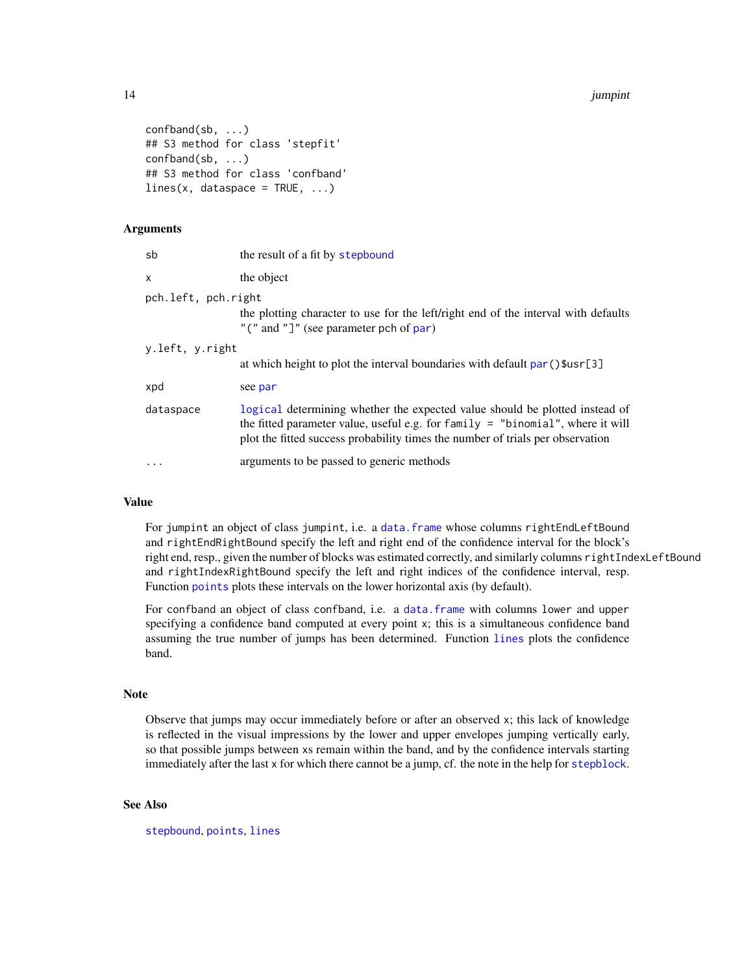14 *jumpint* 

```
confband(sb, ...)
## S3 method for class 'stepfit'
confband(sb, ...)
## S3 method for class 'confband'
lines(x, data space = TRUE, ...)
```
# **Arguments**

| sb                  | the result of a fit by stepbound                                                                                                                                                                                                                |
|---------------------|-------------------------------------------------------------------------------------------------------------------------------------------------------------------------------------------------------------------------------------------------|
| X                   | the object                                                                                                                                                                                                                                      |
| pch.left, pch.right | the plotting character to use for the left/right end of the interval with defaults<br>"(" and "]" (see parameter pch of $par$ )                                                                                                                 |
| y.left, y.right     | at which height to plot the interval boundaries with default $par( )\$                                                                                                                                                                          |
| xpd                 | see par                                                                                                                                                                                                                                         |
| dataspace           | logical determining whether the expected value should be plotted instead of<br>the fitted parameter value, useful e.g. for family = "binomial", where it will<br>plot the fitted success probability times the number of trials per observation |
| $\cdot$             | arguments to be passed to generic methods                                                                                                                                                                                                       |

# Value

For jumpint an object of class jumpint, i.e. a [data.frame](#page-0-0) whose columns rightEndLeftBound and rightEndRightBound specify the left and right end of the confidence interval for the block's right end, resp., given the number of blocks was estimated correctly, and similarly columns rightIndexLeftBound and rightIndexRightBound specify the left and right indices of the confidence interval, resp. Function [points](#page-0-0) plots these intervals on the lower horizontal axis (by default).

For confband an object of class confband, i.e. a [data.frame](#page-0-0) with columns lower and upper specifying a confidence band computed at every point x; this is a simultaneous confidence band assuming the true number of jumps has been determined. Function [lines](#page-0-0) plots the confidence band.

#### Note

Observe that jumps may occur immediately before or after an observed x; this lack of knowledge is reflected in the visual impressions by the lower and upper envelopes jumping vertically early, so that possible jumps between xs remain within the band, and by the confidence intervals starting immediately after the last x for which there cannot be a jump, cf. the note in the help for [stepblock](#page-21-1).

# See Also

[stepbound](#page-23-1), [points](#page-0-0), [lines](#page-0-0)

<span id="page-13-0"></span>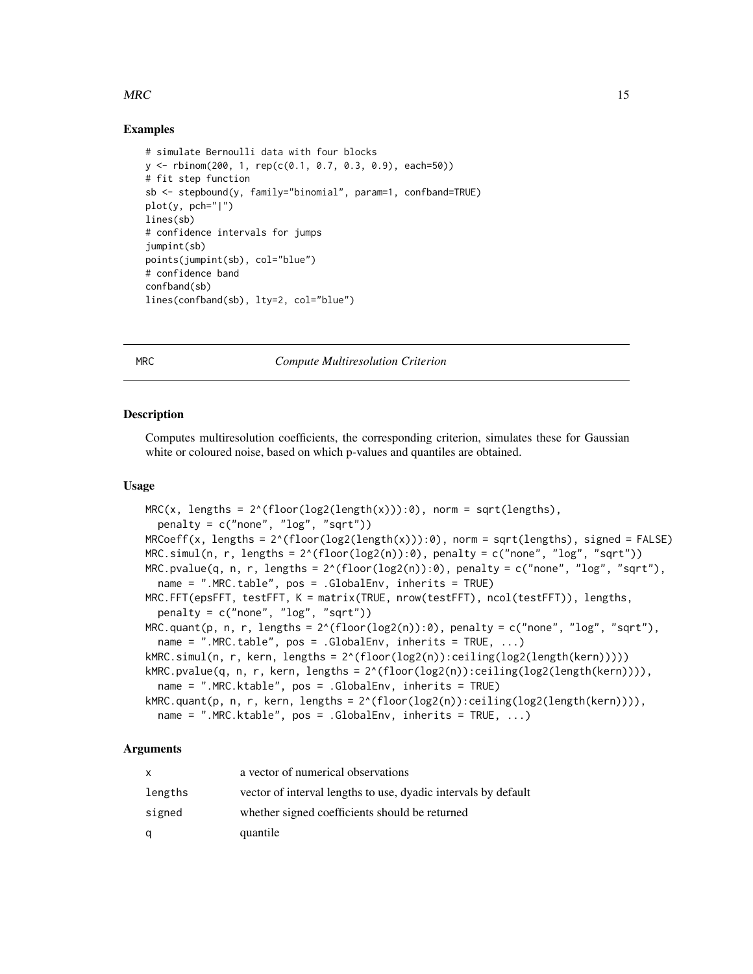# <span id="page-14-0"></span> $MRC$  15

# Examples

```
# simulate Bernoulli data with four blocks
y \le - rbinom(200, 1, rep(c(0.1, 0.7, 0.3, 0.9), each=50))
# fit step function
sb <- stepbound(y, family="binomial", param=1, confband=TRUE)
plot(y, pch=" |")lines(sb)
# confidence intervals for jumps
jumpint(sb)
points(jumpint(sb), col="blue")
# confidence band
confband(sb)
lines(confband(sb), lty=2, col="blue")
```
#### MRC *Compute Multiresolution Criterion*

#### **Description**

Computes multiresolution coefficients, the corresponding criterion, simulates these for Gaussian white or coloured noise, based on which p-values and quantiles are obtained.

#### Usage

```
MRC(x, lengths = 2^(floor(log2(length(x))):0), norm = sqrt(lengths),penalty = c("none", "log", "sqrt"))
MRCoeff(x, lengths = 2^(floor(log2(length(x))):0), norm = sqrt(lengths), signed = FALSE)
MRC.simul(n, r, lengths = 2^(floor(log2(n)):0), penalty = c("none", "log", "sqrt"))
MRC.pvalue(q, n, r, lengths = 2^(floor(log2(n)):0), penalty = c("none", "log", "sqrt"),
  name = ".MRC.table", pos = .GlobalEnv, inherits = TRUE)
MRC.FFT(epsFFT, testFFT, K = matrix(TRUE, nrow(testFFT), ncol(testFFT)), lengths,
  penalty = c("none", "log", "sqrt")MRC.quant(p, n, r, lengths = 2^(floor(log2(n)):0), penalty = c("none", "log", "sqrt"),
  name = ".MRC.table", pos = .GlobalEnv, inherits = TRUE, ...)
kMRC.simul(n, r, kern, lengths = 2^(floor(log2(n)):ceiling(log2(length(kern)))))
kMRC.pvalue(q, n, r, kern, lengths = 2^(floor(log2(n)):ceiling(log2(length(kern)))),
  name = ".MRC.ktable", pos = .GlobalEnv, inherits = TRUE)
kMRC.quant(p, n, r, kern, lengths = 2^(floor(log2(n)):ceiling(log2(length(kern)))),
  name = ".MRC.ktable", pos = .GlobalEnv, inherits = TRUE, ...)
```
#### Arguments

| X.      | a vector of numerical observations                             |
|---------|----------------------------------------------------------------|
| lengths | vector of interval lengths to use, dyadic intervals by default |
| signed  | whether signed coefficients should be returned                 |
| q       | quantile                                                       |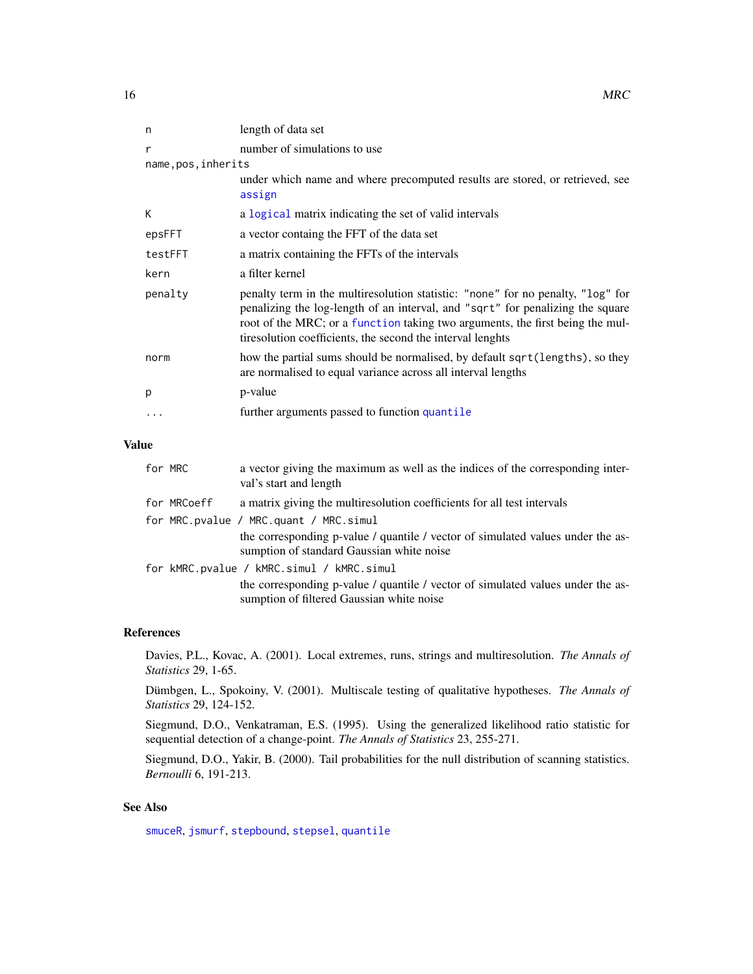<span id="page-15-0"></span>

| n                   | length of data set                                                                                                                                                                                                                                                                                                |
|---------------------|-------------------------------------------------------------------------------------------------------------------------------------------------------------------------------------------------------------------------------------------------------------------------------------------------------------------|
| r                   | number of simulations to use                                                                                                                                                                                                                                                                                      |
| name, pos, inherits |                                                                                                                                                                                                                                                                                                                   |
|                     | under which name and where precomputed results are stored, or retrieved, see<br>assign                                                                                                                                                                                                                            |
| К                   | a logical matrix indicating the set of valid intervals                                                                                                                                                                                                                                                            |
| epsFFT              | a vector containg the FFT of the data set                                                                                                                                                                                                                                                                         |
| testFFT             | a matrix containing the FFTs of the intervals                                                                                                                                                                                                                                                                     |
| kern                | a filter kernel                                                                                                                                                                                                                                                                                                   |
| penalty             | penalty term in the multiresolution statistic: "none" for no penalty, "log" for<br>penalizing the log-length of an interval, and "sqrt" for penalizing the square<br>root of the MRC; or a function taking two arguments, the first being the mul-<br>tires olution coefficients, the second the interval lenghts |
| norm                | how the partial sums should be normalised, by default sqrt(lengths), so they<br>are normalised to equal variance across all interval lengths                                                                                                                                                                      |
| p                   | p-value                                                                                                                                                                                                                                                                                                           |
|                     | further arguments passed to function quantile                                                                                                                                                                                                                                                                     |
|                     |                                                                                                                                                                                                                                                                                                                   |

# Value

| for MRC     | a vector giving the maximum as well as the indices of the corresponding inter-<br>val's start and length                     |
|-------------|------------------------------------------------------------------------------------------------------------------------------|
| for MRCoeff | a matrix giving the multiresolution coefficients for all test intervals                                                      |
|             | for MRC.pvalue / MRC.quant / MRC.simul                                                                                       |
|             | the corresponding p-value / quantile / vector of simulated values under the as-<br>sumption of standard Gaussian white noise |
|             | for kMRC.pvalue / kMRC.simul / kMRC.simul                                                                                    |
|             | the corresponding p-value / quantile / vector of simulated values under the as-<br>sumption of filtered Gaussian white noise |

# References

Davies, P.L., Kovac, A. (2001). Local extremes, runs, strings and multiresolution. *The Annals of Statistics* 29, 1-65.

Dümbgen, L., Spokoiny, V. (2001). Multiscale testing of qualitative hypotheses. *The Annals of Statistics* 29, 124-152.

Siegmund, D.O., Venkatraman, E.S. (1995). Using the generalized likelihood ratio statistic for sequential detection of a change-point. *The Annals of Statistics* 23, 255-271.

Siegmund, D.O., Yakir, B. (2000). Tail probabilities for the null distribution of scanning statistics. *Bernoulli* 6, 191-213.

# See Also

[smuceR](#page-19-1), [jsmurf](#page-11-1), [stepbound](#page-23-1), [stepsel](#page-30-1), [quantile](#page-0-0)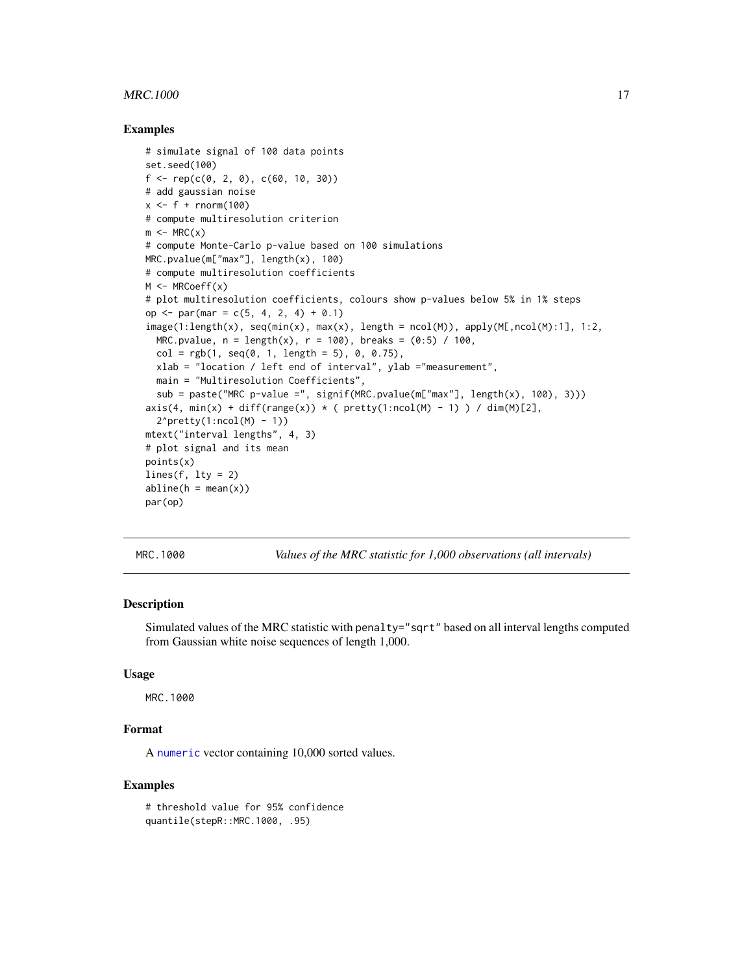#### <span id="page-16-0"></span> $MRC.1000$  17

# Examples

```
# simulate signal of 100 data points
set.seed(100)
f \leftarrow \text{rep}(c(0, 2, 0), c(60, 10, 30))# add gaussian noise
x \leq-f + \text{rnorm}(100)# compute multiresolution criterion
m \leftarrow MRC(x)# compute Monte-Carlo p-value based on 100 simulations
MRC.pvalue(m["max"], length(x), 100)
# compute multiresolution coefficients
M \leftarrow MRCoeff(x)# plot multiresolution coefficients, colours show p-values below 5% in 1% steps
op <- par(mar = c(5, 4, 2, 4) + 0.1)
image(1:length(x), seq(min(x), max(x), length = ncol(M)), apply(M[,ncol(M):1], 1:2,MRC.pvalue, n = length(x), r = 100, breaks = (0.5) / 100,
  col = rgb(1, seq(0, 1, length = 5), 0, 0.75),xlab = "location / left end of interval", ylab ="measurement",
  main = "Multiresolution Coefficients",
  sub = paste("MRC p-value =", signif(MRC.pvalue(m["max"], length(x), 100), 3)))
axis(4, min(x) + diff(range(x)) * ( pretty(1:ncol(M) - 1)) / dim(M)[2],2^{\wedge}pretty(1:ncol(M) - 1)mtext("interval lengths", 4, 3)
# plot signal and its mean
points(x)
lines(f, 1ty = 2)abline(h = mean(x))par(op)
```
MRC.1000 *Values of the MRC statistic for 1,000 observations (all intervals)*

# Description

Simulated values of the MRC statistic with penalty="sqrt" based on all interval lengths computed from Gaussian white noise sequences of length 1,000.

#### Usage

MRC.1000

# Format

A [numeric](#page-0-0) vector containing 10,000 sorted values.

# Examples

# threshold value for 95% confidence quantile(stepR::MRC.1000, .95)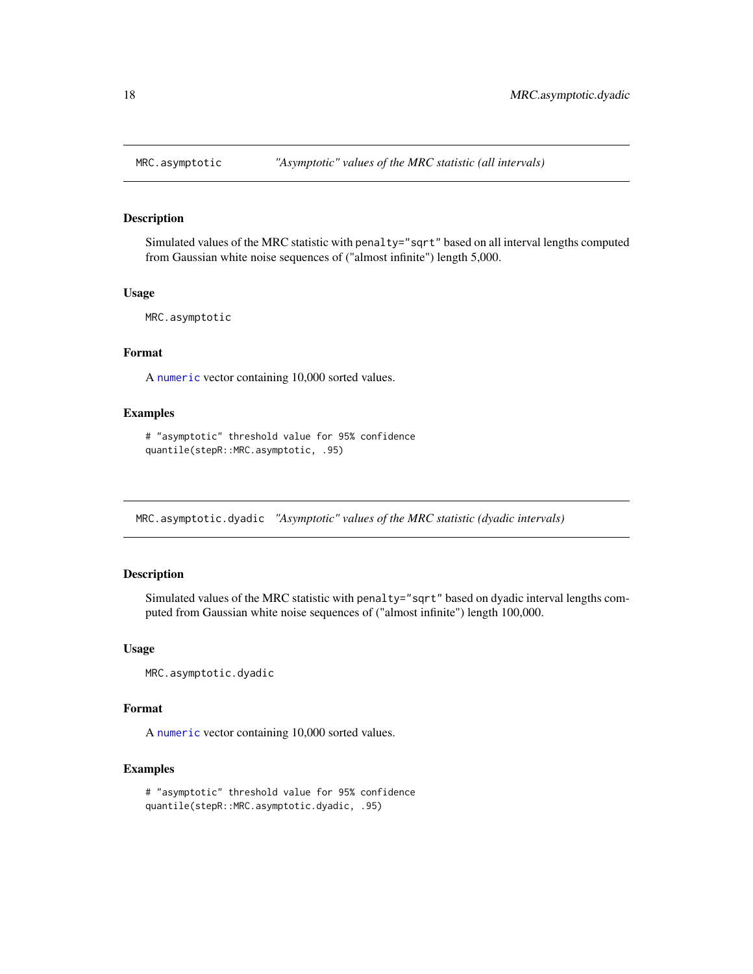<span id="page-17-1"></span><span id="page-17-0"></span>

# Description

Simulated values of the MRC statistic with penalty="sqrt" based on all interval lengths computed from Gaussian white noise sequences of ("almost infinite") length 5,000.

#### Usage

MRC.asymptotic

# Format

A [numeric](#page-0-0) vector containing 10,000 sorted values.

# Examples

```
# "asymptotic" threshold value for 95% confidence
quantile(stepR::MRC.asymptotic, .95)
```
MRC.asymptotic.dyadic *"Asymptotic" values of the MRC statistic (dyadic intervals)*

# Description

Simulated values of the MRC statistic with penalty="sqrt" based on dyadic interval lengths computed from Gaussian white noise sequences of ("almost infinite") length 100,000.

#### Usage

MRC.asymptotic.dyadic

# Format

A [numeric](#page-0-0) vector containing 10,000 sorted values.

```
# "asymptotic" threshold value for 95% confidence
quantile(stepR::MRC.asymptotic.dyadic, .95)
```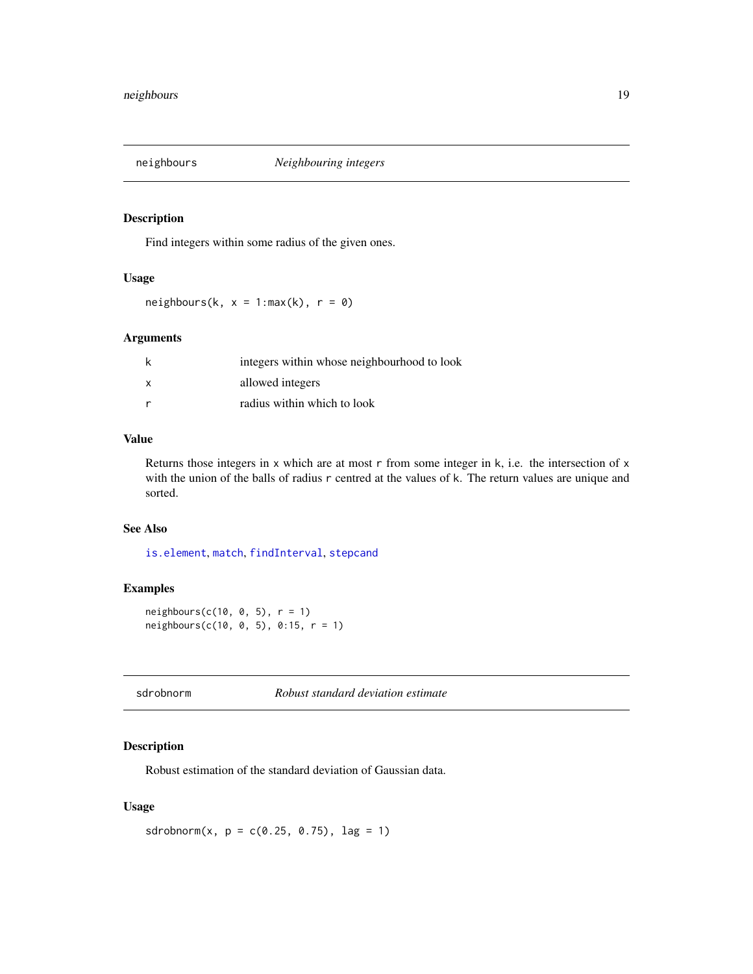<span id="page-18-0"></span>

# Description

Find integers within some radius of the given ones.

# Usage

 $neighbours(k, x = 1:max(k), r = 0)$ 

# Arguments

| k            | integers within whose neighbourhood to look |
|--------------|---------------------------------------------|
| $\mathsf{x}$ | allowed integers                            |
| r            | radius within which to look                 |

# Value

Returns those integers in  $x$  which are at most r from some integer in  $k$ , i.e. the intersection of  $x$ with the union of the balls of radius r centred at the values of k. The return values are unique and sorted.

#### See Also

[is.element](#page-0-0), [match](#page-0-0), [findInterval](#page-0-0), [stepcand](#page-24-1)

# Examples

```
neighbours(c(10, 0, 5), r = 1)
neighbours(c(10, 0, 5), 0:15, r = 1)
```
<span id="page-18-1"></span>sdrobnorm *Robust standard deviation estimate*

# Description

Robust estimation of the standard deviation of Gaussian data.

# Usage

sdrobnorm $(x, p = c(0.25, 0.75), lag = 1)$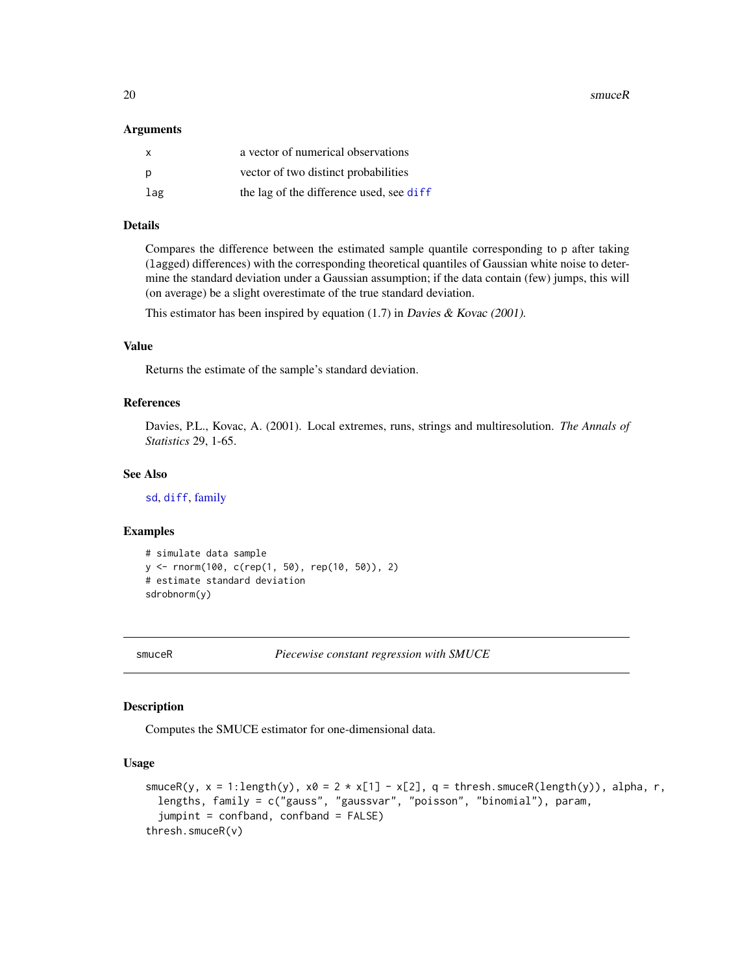<span id="page-19-0"></span>20 smuceR

#### Arguments

| X   | a vector of numerical observations       |
|-----|------------------------------------------|
| p   | vector of two distinct probabilities     |
| lag | the lag of the difference used, see diff |

# Details

Compares the difference between the estimated sample quantile corresponding to p after taking (lagged) differences) with the corresponding theoretical quantiles of Gaussian white noise to determine the standard deviation under a Gaussian assumption; if the data contain (few) jumps, this will (on average) be a slight overestimate of the true standard deviation.

This estimator has been inspired by equation  $(1.7)$  in Davies & Kovac (2001).

# Value

Returns the estimate of the sample's standard deviation.

# References

Davies, P.L., Kovac, A. (2001). Local extremes, runs, strings and multiresolution. *The Annals of Statistics* 29, 1-65.

# See Also

[sd](#page-0-0), [diff](#page-0-0), [family](#page-9-1)

#### Examples

```
# simulate data sample
y <- rnorm(100, c(rep(1, 50), rep(10, 50)), 2)
# estimate standard deviation
sdrobnorm(y)
```
<span id="page-19-1"></span>

smuceR *Piecewise constant regression with SMUCE*

#### Description

Computes the SMUCE estimator for one-dimensional data.

# Usage

```
smuceR(y, x = 1:length(y), x0 = 2 \times x[1] - x[2], q = thresh.smuceR(length(y)), alpha, r,
  lengths, family = c("gauss", "gaussvar", "poisson", "binomial"), param,
  jumpint = confband, confband = FALSE)
thresh.smuceR(v)
```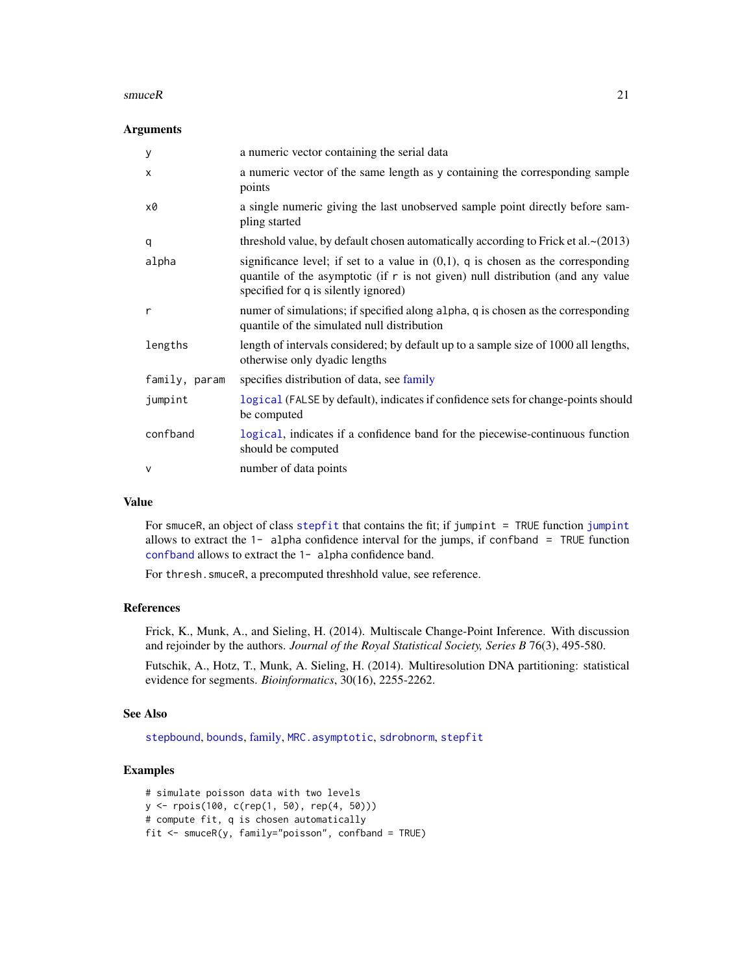#### <span id="page-20-0"></span> $smuceR$  21

#### **Arguments**

| y             | a numeric vector containing the serial data                                                                                                                                                                      |
|---------------|------------------------------------------------------------------------------------------------------------------------------------------------------------------------------------------------------------------|
| X             | a numeric vector of the same length as y containing the corresponding sample<br>points                                                                                                                           |
| x0            | a single numeric giving the last unobserved sample point directly before sam-<br>pling started                                                                                                                   |
| q             | threshold value, by default chosen automatically according to Frick et al. $\sim$ (2013)                                                                                                                         |
| alpha         | significance level; if set to a value in $(0,1)$ , q is chosen as the corresponding<br>quantile of the asymptotic (if $r$ is not given) null distribution (and any value<br>specified for q is silently ignored) |
| r             | numer of simulations; if specified along alpha, q is chosen as the corresponding<br>quantile of the simulated null distribution                                                                                  |
| lengths       | length of intervals considered; by default up to a sample size of 1000 all lengths,<br>otherwise only dyadic lengths                                                                                             |
| family, param | specifies distribution of data, see family                                                                                                                                                                       |
| jumpint       | logical (FALSE by default), indicates if confidence sets for change-points should<br>be computed                                                                                                                 |
| confband      | logical, indicates if a confidence band for the piecewise-continuous function<br>should be computed                                                                                                              |
| $\mathsf{V}$  | number of data points                                                                                                                                                                                            |

# Value

For smuceR, an object of class [stepfit](#page-26-1) that contains the fit; if [jumpint](#page-12-1) = TRUE function jumpint allows to extract the  $1-$  alpha confidence interval for the jumps, if confband = TRUE function [confband](#page-12-2) allows to extract the 1- alpha confidence band.

For thresh.smuceR, a precomputed threshhold value, see reference.

# References

Frick, K., Munk, A., and Sieling, H. (2014). Multiscale Change-Point Inference. With discussion and rejoinder by the authors. *Journal of the Royal Statistical Society, Series B* 76(3), 495-580.

Futschik, A., Hotz, T., Munk, A. Sieling, H. (2014). Multiresolution DNA partitioning: statistical evidence for segments. *Bioinformatics*, 30(16), 2255-2262.

# See Also

[stepbound](#page-23-1), [bounds](#page-4-1), [family,](#page-9-1) [MRC.asymptotic](#page-17-1), [sdrobnorm](#page-18-1), [stepfit](#page-26-1)

```
# simulate poisson data with two levels
y <- rpois(100, c(rep(1, 50), rep(4, 50)))
# compute fit, q is chosen automatically
fit <- smuceR(y, family="poisson", confband = TRUE)
```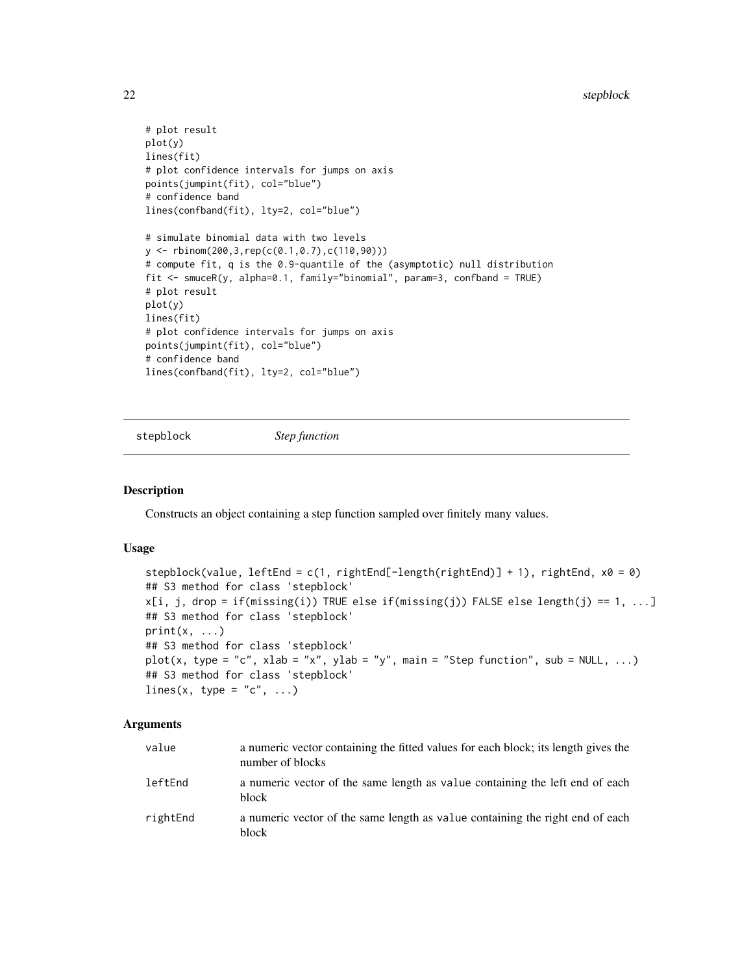```
# plot result
plot(y)
lines(fit)
# plot confidence intervals for jumps on axis
points(jumpint(fit), col="blue")
# confidence band
lines(confband(fit), lty=2, col="blue")
# simulate binomial data with two levels
y <- rbinom(200,3,rep(c(0.1,0.7),c(110,90)))
# compute fit, q is the 0.9-quantile of the (asymptotic) null distribution
fit <- smuceR(y, alpha=0.1, family="binomial", param=3, confband = TRUE)
# plot result
plot(y)
lines(fit)
# plot confidence intervals for jumps on axis
points(jumpint(fit), col="blue")
# confidence band
lines(confband(fit), lty=2, col="blue")
```
<span id="page-21-1"></span>stepblock *Step function*

#### Description

Constructs an object containing a step function sampled over finitely many values.

#### Usage

```
stepblock(value, leftEnd = c(1, rightEnd[-length(rightEnd)] + 1), rightEnd, x0 = 0)
## S3 method for class 'stepblock'
x[i, j, drop = if(missing(i)) TRUE else if(missing(j)) FALSE else length(j) == 1, ...]
## S3 method for class 'stepblock'
print(x, \ldots)## S3 method for class 'stepblock'
plot(x, type = "c", xlab = "x", ylab = "y", main = "Step function", sub = NULL, ...)
## S3 method for class 'stepblock'
lines(x, type = "c", \ldots)
```
# Arguments

| value    | a numeric vector containing the fitted values for each block; its length gives the<br>number of blocks |
|----------|--------------------------------------------------------------------------------------------------------|
| leftEnd  | a numeric vector of the same length as value containing the left end of each<br>block                  |
| rightEnd | a numeric vector of the same length as value containing the right end of each<br>block                 |

<span id="page-21-0"></span>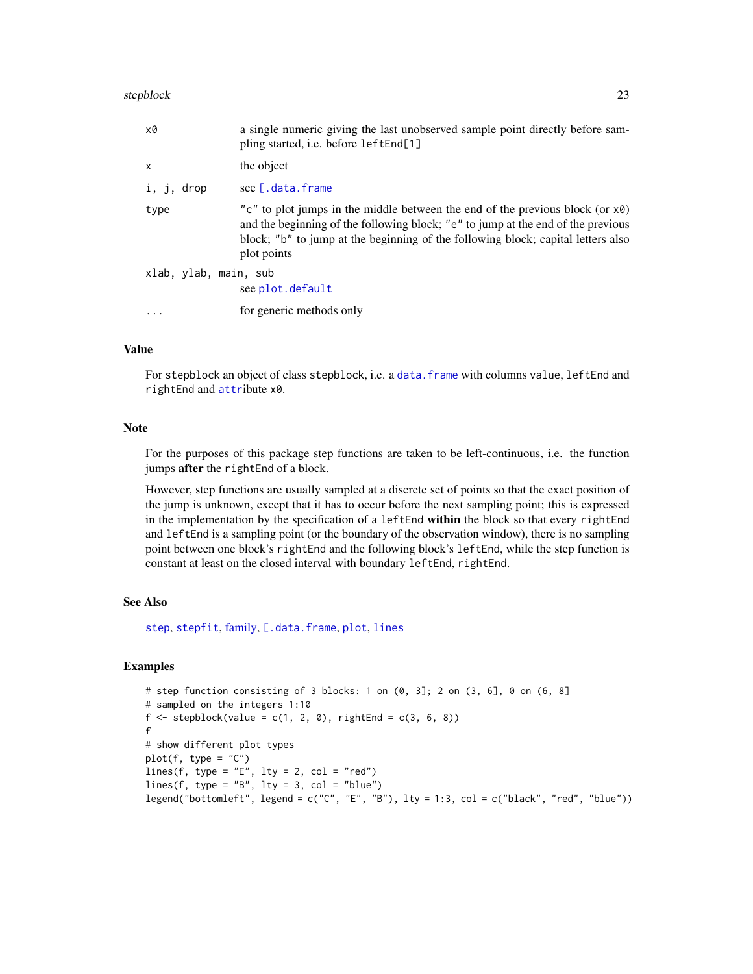<span id="page-22-0"></span>

| x0                    | a single numeric giving the last unobserved sample point directly before sam-<br>pling started, i.e. before leftEnd[1]                                                                                                                                                       |
|-----------------------|------------------------------------------------------------------------------------------------------------------------------------------------------------------------------------------------------------------------------------------------------------------------------|
| X                     | the object                                                                                                                                                                                                                                                                   |
| i, j, drop            | see [.data.frame                                                                                                                                                                                                                                                             |
| type                  | "c" to plot jumps in the middle between the end of the previous block (or $x\theta$ )<br>and the beginning of the following block; "e" to jump at the end of the previous<br>block; "b" to jump at the beginning of the following block; capital letters also<br>plot points |
| xlab, ylab, main, sub | see plot.default                                                                                                                                                                                                                                                             |
|                       | for generic methods only                                                                                                                                                                                                                                                     |

# Value

For stepblock an object of class stepblock, i.e. a [data.frame](#page-0-0) with columns value, leftEnd and rightEnd and [attr](#page-0-0)ibute x0.

#### Note

For the purposes of this package step functions are taken to be left-continuous, i.e. the function jumps after the rightEnd of a block.

However, step functions are usually sampled at a discrete set of points so that the exact position of the jump is unknown, except that it has to occur before the next sampling point; this is expressed in the implementation by the specification of a leftEnd within the block so that every rightEnd and leftEnd is a sampling point (or the boundary of the observation window), there is no sampling point between one block's rightEnd and the following block's leftEnd, while the step function is constant at least on the closed interval with boundary leftEnd, rightEnd.

# See Also

[step](#page-0-0), [stepfit](#page-26-1), [family,](#page-9-1) [\[.data.frame](#page-0-0), [plot](#page-0-0), [lines](#page-0-0)

```
# step function consisting of 3 blocks: 1 on (0, 3]; 2 on (3, 6], 0 on (6, 8]
# sampled on the integers 1:10
f \leftarrow \text{stepblock(value = c(1, 2, 0), rightEnd = c(3, 6, 8))f
# show different plot types
plot(f, type = "C")lines(f, type = "E", lty = 2, col = "red")
lines(f, type = "B", lty = 3, col = "blue")
legend("bottomleft", legend = c("C", "E", "B"), lty = 1:3, col = c("black", "red", "blue"))
```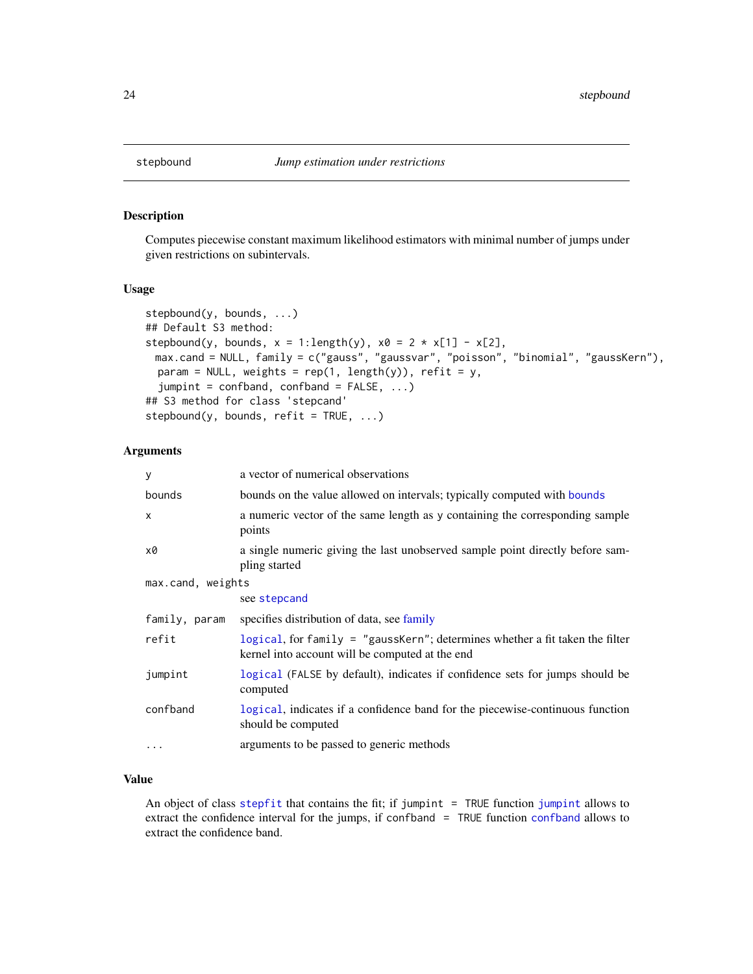<span id="page-23-1"></span><span id="page-23-0"></span>

# Description

Computes piecewise constant maximum likelihood estimators with minimal number of jumps under given restrictions on subintervals.

# Usage

```
stepbound(y, bounds, ...)
## Default S3 method:
stepbound(y, bounds, x = 1:length(y), x0 = 2 \times x[1] - x[2],
 max.cand = NULL, family = c("gauss", "gaussvar", "poisson", "binomial", "gaussKern"),
 param = NULL, weights = rep(1, length(y)), refit = y,
  jumpint = confband, confband = FALSE, ...)## S3 method for class 'stepcand'
stepbound(y, bounds, refit = TRUE, ...)
```
#### Arguments

| У                 | a vector of numerical observations                                                                  |  |
|-------------------|-----------------------------------------------------------------------------------------------------|--|
| bounds            | bounds on the value allowed on intervals; typically computed with bounds                            |  |
| X                 | a numeric vector of the same length as y containing the corresponding sample<br>points              |  |
| x0                | a single numeric giving the last unobserved sample point directly before sam-<br>pling started      |  |
| max.cand, weights |                                                                                                     |  |
|                   | see stepcand                                                                                        |  |
| family, param     | specifies distribution of data, see family                                                          |  |
| refit             | logical, for family = "gaussKern"; determines whether a fit taken the filter                        |  |
|                   | kernel into account will be computed at the end                                                     |  |
| jumpint           | logical (FALSE by default), indicates if confidence sets for jumps should be<br>computed            |  |
| confband          | logical, indicates if a confidence band for the piecewise-continuous function<br>should be computed |  |

# Value

An object of class [stepfit](#page-26-1) that contains the fit; if jumpint = TRUE function [jumpint](#page-12-1) allows to extract the confidence interval for the jumps, if [confband](#page-12-2) = TRUE function confband allows to extract the confidence band.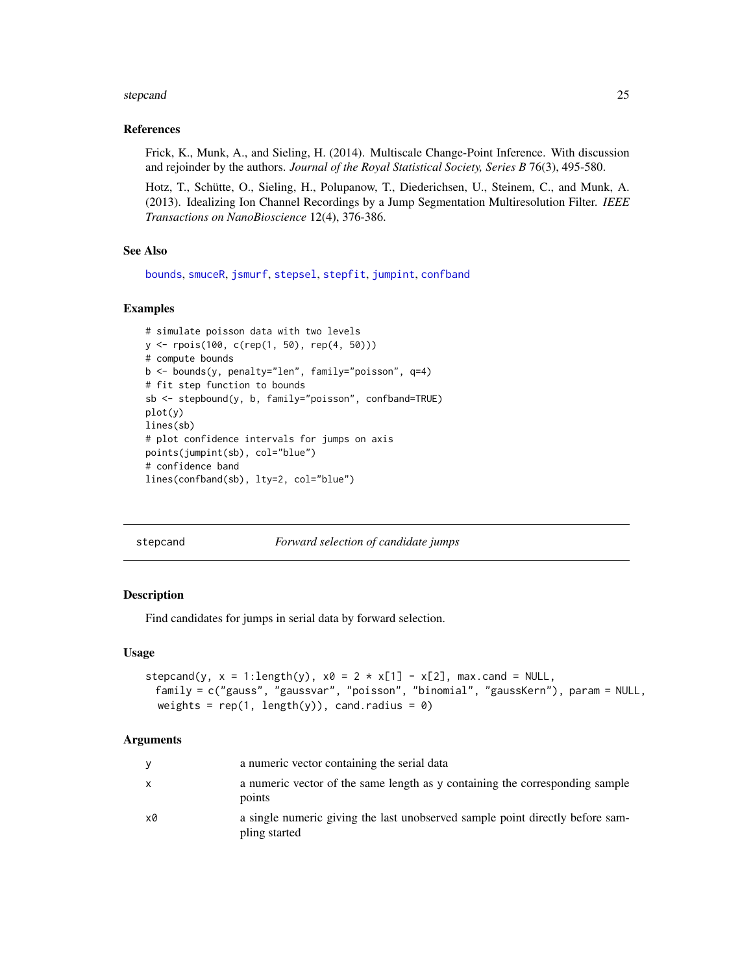#### <span id="page-24-0"></span>stepcand 25

# References

Frick, K., Munk, A., and Sieling, H. (2014). Multiscale Change-Point Inference. With discussion and rejoinder by the authors. *Journal of the Royal Statistical Society, Series B* 76(3), 495-580.

Hotz, T., Schütte, O., Sieling, H., Polupanow, T., Diederichsen, U., Steinem, C., and Munk, A. (2013). Idealizing Ion Channel Recordings by a Jump Segmentation Multiresolution Filter. *IEEE Transactions on NanoBioscience* 12(4), 376-386.

# See Also

[bounds](#page-4-1), [smuceR](#page-19-1), [jsmurf](#page-11-1), [stepsel](#page-30-1), [stepfit](#page-26-1), [jumpint](#page-12-1), [confband](#page-12-2)

#### Examples

```
# simulate poisson data with two levels
y <- rpois(100, c(rep(1, 50), rep(4, 50)))
# compute bounds
b <- bounds(y, penalty="len", family="poisson", q=4)
# fit step function to bounds
sb <- stepbound(y, b, family="poisson", confband=TRUE)
plot(y)
lines(sb)
# plot confidence intervals for jumps on axis
points(jumpint(sb), col="blue")
# confidence band
lines(confband(sb), lty=2, col="blue")
```
<span id="page-24-1"></span>stepcand *Forward selection of candidate jumps*

# **Description**

Find candidates for jumps in serial data by forward selection.

#### Usage

```
stepcand(y, x = 1: length(y), x0 = 2 \times x[1] - x[2], max.cand = NULL,
 family = c("gauss", "gaussvar", "poisson", "binomial", "gaussKern"), param = NULL,
 weights = rep(1, length(y)), cand.radius = 0)
```
#### Arguments

| <b>V</b>     | a numeric vector containing the serial data                                                    |
|--------------|------------------------------------------------------------------------------------------------|
| $\mathsf{x}$ | a numeric vector of the same length as y containing the corresponding sample<br>points         |
| x0           | a single numeric giving the last unobserved sample point directly before sam-<br>pling started |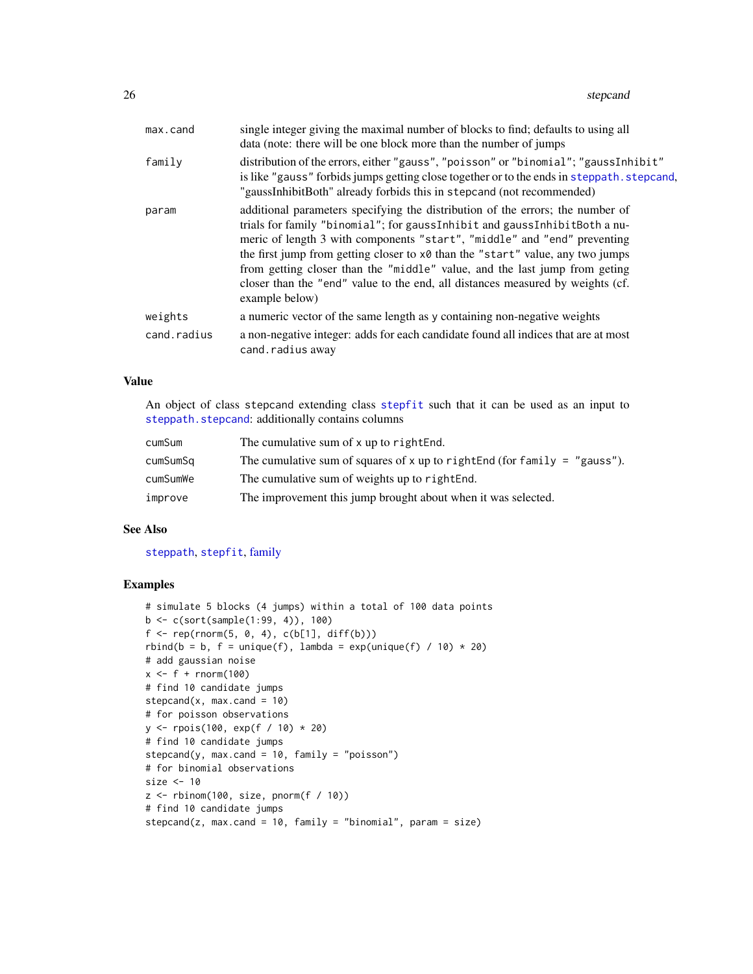<span id="page-25-0"></span>

| max.cand    | single integer giving the maximal number of blocks to find; defaults to using all<br>data (note: there will be one block more than the number of jumps                                                                                                                                                                                                                                                                                                                                                      |
|-------------|-------------------------------------------------------------------------------------------------------------------------------------------------------------------------------------------------------------------------------------------------------------------------------------------------------------------------------------------------------------------------------------------------------------------------------------------------------------------------------------------------------------|
| family      | distribution of the errors, either "gauss", "poisson" or "binomial"; "gaussInhibit"<br>is like "gauss" forbids jumps getting close together or to the ends in steppath. stepcand,<br>"gaussInhibitBoth" already forbids this in stepcand (not recommended)                                                                                                                                                                                                                                                  |
| param       | additional parameters specifying the distribution of the errors; the number of<br>trials for family "binomial"; for gaussInhibit and gaussInhibitBoth a nu-<br>meric of length 3 with components "start", "middle" and "end" preventing<br>the first jump from getting closer to x0 than the "start" value, any two jumps<br>from getting closer than the "middle" value, and the last jump from geting<br>closer than the "end" value to the end, all distances measured by weights (cf.<br>example below) |
| weights     | a numeric vector of the same length as y containing non-negative weights                                                                                                                                                                                                                                                                                                                                                                                                                                    |
| cand.radius | a non-negative integer: adds for each candidate found all indices that are at most<br>cand.radius away                                                                                                                                                                                                                                                                                                                                                                                                      |

# Value

An object of class stepcand extending class [stepfit](#page-26-1) such that it can be used as an input to [steppath.stepcand](#page-28-2): additionally contains columns

| cumSum   | The cumulative sum of x up to right End.                                    |
|----------|-----------------------------------------------------------------------------|
| cumSumSq | The cumulative sum of squares of x up to rightEnd (for family $=$ "gauss"). |
| cumSumWe | The cumulative sum of weights up to right End.                              |
| improve  | The improvement this jump brought about when it was selected.               |

# See Also

[steppath](#page-28-1), [stepfit](#page-26-1), [family](#page-9-1)

```
# simulate 5 blocks (4 jumps) within a total of 100 data points
b <- c(sort(sample(1:99, 4)), 100)
f \leftarrow rep(rnorm(5, 0, 4), c(b[1], diff(b)))rbind(b = b, f = unique(f), lambda = exp(unique(f) / 10) * 20)# add gaussian noise
x < - f + rnorm(100)# find 10 candidate jumps
stepcand(x, max.cand = 10)
# for poisson observations
y <- rpois(100, exp(f / 10) * 20)
# find 10 candidate jumps
stepcand(y, max.cand = 10, family = "poisson")
# for binomial observations
size <- 10
z \le rbinom(100, size, pnorm(f / 10))
# find 10 candidate jumps
stepcand(z, max.cand = 10, family = "binomial", param = size)
```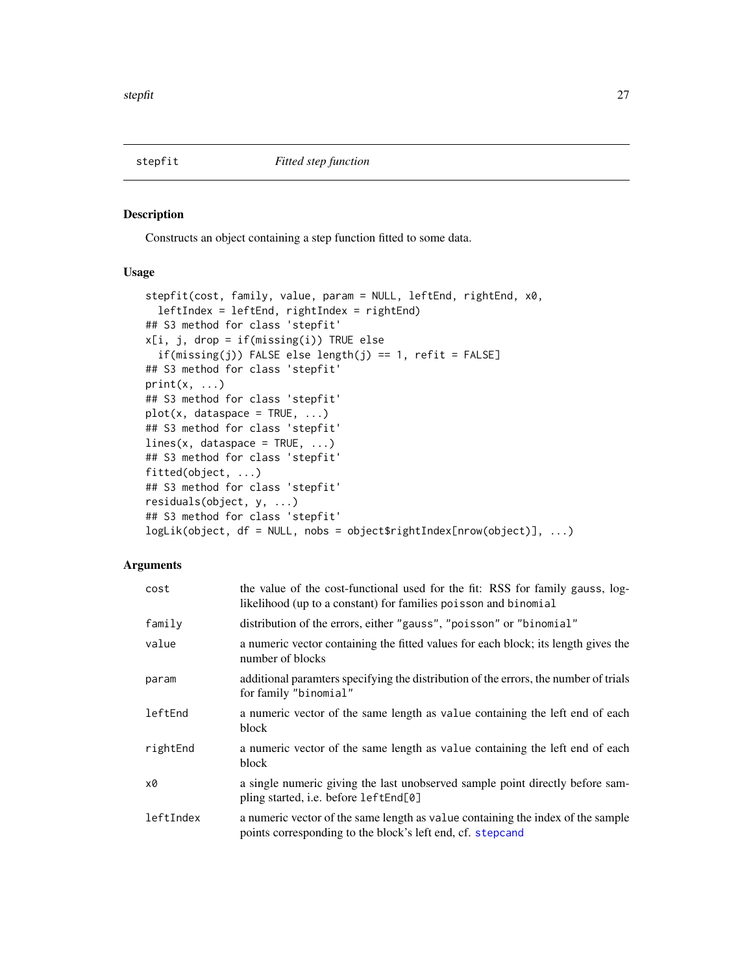<span id="page-26-1"></span><span id="page-26-0"></span>

# Description

Constructs an object containing a step function fitted to some data.

# Usage

```
stepfit(cost, family, value, param = NULL, leftEnd, rightEnd, x0,
 leftIndex = leftEnd, rightIndex = rightEnd)
## S3 method for class 'stepfit'
x[i, j, drop = if(missing(i)) TRUE else
  if(missing(j)) FALSE else length(j) == 1, refit = FALSE]
## S3 method for class 'stepfit'
print(x, ...)
## S3 method for class 'stepfit'
plot(x, dataspace = TRUE, ...)## S3 method for class 'stepfit'
lines(x, data space = TRUE, ...)## S3 method for class 'stepfit'
fitted(object, ...)
## S3 method for class 'stepfit'
residuals(object, y, ...)
## S3 method for class 'stepfit'
logLik(object, df = NULL, nobs = object$rightIndex[nrow(object)], ...)
```
# Arguments

| cost      | the value of the cost-functional used for the fit: RSS for family gauss, log-<br>likelihood (up to a constant) for families poisson and binomial |
|-----------|--------------------------------------------------------------------------------------------------------------------------------------------------|
| family    | distribution of the errors, either "gauss", "poisson" or "binomial"                                                                              |
| value     | a numeric vector containing the fitted values for each block; its length gives the<br>number of blocks                                           |
| param     | additional paramters specifying the distribution of the errors, the number of trials<br>for family "binomial"                                    |
| leftEnd   | a numeric vector of the same length as value containing the left end of each<br>block                                                            |
| rightEnd  | a numeric vector of the same length as value containing the left end of each<br>block                                                            |
| x0        | a single numeric giving the last unobserved sample point directly before sam-<br>pling started, i.e. before leftEnd[0]                           |
| leftIndex | a numeric vector of the same length as value containing the index of the sample<br>points corresponding to the block's left end, cf. stepcand    |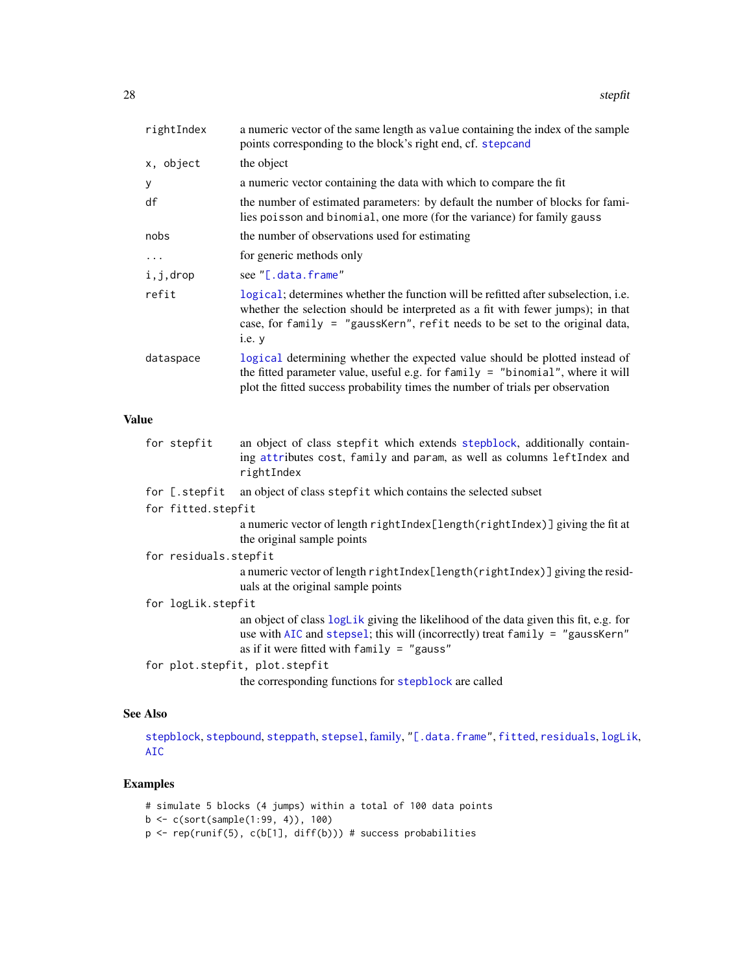<span id="page-27-0"></span>

| rightIndex | a numeric vector of the same length as value containing the index of the sample<br>points corresponding to the block's right end, cf. stepcand                                                                                                                 |
|------------|----------------------------------------------------------------------------------------------------------------------------------------------------------------------------------------------------------------------------------------------------------------|
| x, object  | the object                                                                                                                                                                                                                                                     |
| У          | a numeric vector containing the data with which to compare the fit                                                                                                                                                                                             |
| df         | the number of estimated parameters: by default the number of blocks for fami-<br>lies poisson and binomial, one more (for the variance) for family gauss                                                                                                       |
| nobs       | the number of observations used for estimating                                                                                                                                                                                                                 |
| $\cdots$   | for generic methods only                                                                                                                                                                                                                                       |
| i,j,drop   | see "[.data.frame"                                                                                                                                                                                                                                             |
| refit      | logical; determines whether the function will be refitted after subselection, i.e.<br>whether the selection should be interpreted as a fit with fewer jumps); in that<br>case, for family = "gaussKern", refit needs to be set to the original data,<br>i.e. y |
| dataspace  | logical determining whether the expected value should be plotted instead of<br>the fitted parameter value, useful e.g. for family $=$ "binomial", where it will<br>plot the fitted success probability times the number of trials per observation              |

# Value

|                    | for stepfit   | an object of class stepfit which extends stepblock, additionally contain-<br>ing attributes cost, family and param, as well as columns left Index and<br>rightIndex |
|--------------------|---------------|---------------------------------------------------------------------------------------------------------------------------------------------------------------------|
|                    | for [.stepfit | an object of class stepfit which contains the selected subset                                                                                                       |
| for fitted.stepfit |               |                                                                                                                                                                     |
|                    |               | a numeric vector of length rightIndex[length(rightIndex)] giving the fit at                                                                                         |

the original sample points

for residuals.stepfit

a numeric vector of length rightIndex[length(rightIndex)] giving the residuals at the original sample points

#### for logLik.stepfit

an object of class [logLik](#page-0-0) giving the likelihood of the data given this fit, e.g. for use with [AIC](#page-0-0) and [stepsel](#page-30-1); this will (incorrectly) treat family = "gaussKern" as if it were fitted with family = "gauss"

for plot.stepfit, plot.stepfit

the corresponding functions for [stepblock](#page-21-1) are called

# See Also

[stepblock](#page-21-1), [stepbound](#page-23-1), [steppath](#page-28-1), [stepsel](#page-30-1), [family,](#page-9-1) ["\[.data.frame"](#page-0-0), [fitted](#page-0-0), [residuals](#page-0-0), [logLik](#page-0-0), [AIC](#page-0-0)

```
# simulate 5 blocks (4 jumps) within a total of 100 data points
b <- c(sort(sample(1:99, 4)), 100)
p \leftarrow rep(runif(5), c(b[1], diff(b))) # success probabilities
```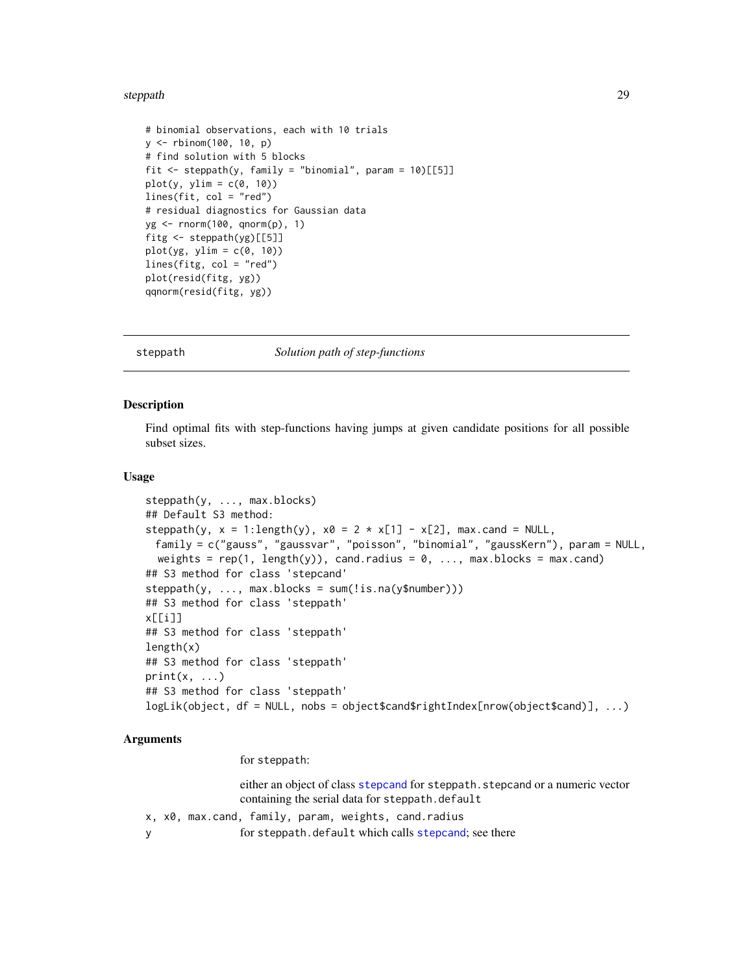#### <span id="page-28-0"></span>steppath 29 and 2012 and 2013 and 2014 and 2014 and 2014 and 2014 and 2014 and 2014 and 2014 and 201

```
# binomial observations, each with 10 trials
y <- rbinom(100, 10, p)
# find solution with 5 blocks
fit \le steppath(y, family = "binomial", param = 10)[[5]]
plot(y, ylim = c(0, 10))lines(fit, col = "red")
# residual diagnostics for Gaussian data
yg <- rnorm(100, qnorm(p), 1)
fitg <- steppath(yg)[[5]]
plot(yg, ylim = c(0, 10))lines(fitg, col = "red")
plot(resid(fitg, yg))
qqnorm(resid(fitg, yg))
```
steppath *Solution path of step-functions*

# <span id="page-28-2"></span>Description

Find optimal fits with step-functions having jumps at given candidate positions for all possible subset sizes.

#### Usage

```
steppath(y, ..., max.blocks)
## Default S3 method:
steppath(y, x = 1: length(y), x0 = 2 \times x[1] - x[2], max.cand = NULL,
 family = c("gauss", "gaussvar", "poisson", "binomial", "gaussKern"), param = NULL,
 weights = rep(1, length(y)), cand.radius = 0, ..., max.blocks = max.cand)## S3 method for class 'stepcand'
steppath(y, ..., max.blocks = sum(!is.na(y$number)))
## S3 method for class 'steppath'
x[[i]]
## S3 method for class 'steppath'
length(x)
## S3 method for class 'steppath'
print(x, \ldots)## S3 method for class 'steppath'
logLik(object, df = NULL, nobs = object$cand$rightIndex[nrow(object$cand)], ...)
```
#### Arguments

for steppath:

either an object of class [stepcand](#page-24-1) for steppath. stepcand or a numeric vector containing the serial data for steppath.default

- x, x0, max.cand, family, param, weights, cand.radius
- y for steppath.default which calls [stepcand](#page-24-1); see there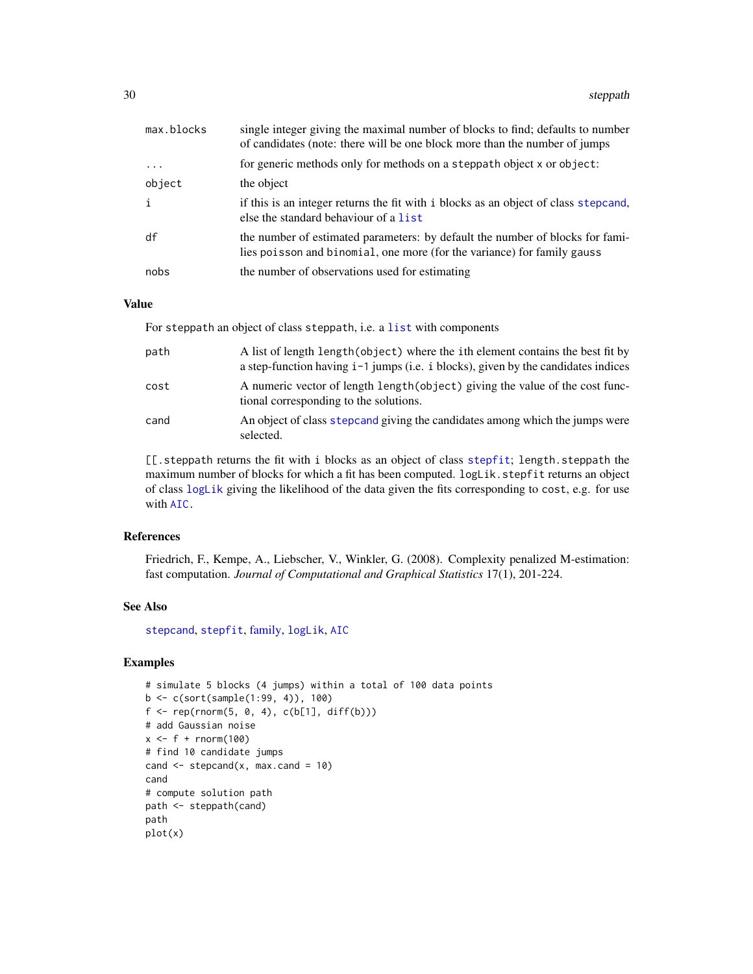<span id="page-29-0"></span>

| max.blocks | single integer giving the maximal number of blocks to find; defaults to number<br>of candidates (note: there will be one block more than the number of jumps |
|------------|--------------------------------------------------------------------------------------------------------------------------------------------------------------|
| $\ddots$   | for generic methods only for methods on a steppath object x or object:                                                                                       |
| object     | the object                                                                                                                                                   |
| i          | if this is an integer returns the fit with i blocks as an object of class stepcand,<br>else the standard behaviour of a list                                 |
| df         | the number of estimated parameters: by default the number of blocks for fami-<br>lies poisson and binomial, one more (for the variance) for family gauss     |
| nobs       | the number of observations used for estimating                                                                                                               |

# Value

For steppath an object of class steppath, i.e. a [list](#page-0-0) with components

| path | A list of length length (object) where the ith element contains the best fit by<br>a step-function having i-1 jumps (i.e. i blocks), given by the candidates indices |
|------|----------------------------------------------------------------------------------------------------------------------------------------------------------------------|
| cost | A numeric vector of length length (object) giving the value of the cost func-<br>tional corresponding to the solutions.                                              |
| cand | An object of class stepcand giving the candidates among which the jumps were<br>selected.                                                                            |

[[.steppath returns the fit with i blocks as an object of class [stepfit](#page-26-1); length.steppath the maximum number of blocks for which a fit has been computed. logLik.stepfit returns an object of class [logLik](#page-0-0) giving the likelihood of the data given the fits corresponding to cost, e.g. for use with [AIC.](#page-0-0)

# References

Friedrich, F., Kempe, A., Liebscher, V., Winkler, G. (2008). Complexity penalized M-estimation: fast computation. *Journal of Computational and Graphical Statistics* 17(1), 201-224.

# See Also

[stepcand](#page-24-1), [stepfit](#page-26-1), [family,](#page-9-1) [logLik](#page-0-0), [AIC](#page-0-0)

```
# simulate 5 blocks (4 jumps) within a total of 100 data points
b <- c(sort(sample(1:99, 4)), 100)
f \leftarrow rep(rnorm(5, 0, 4), c(b[1], diff(b)))# add Gaussian noise
x \leq-f + \text{norm}(100)# find 10 candidate jumps
cand \le stepcand(x, max.cand = 10)
cand
# compute solution path
path <- steppath(cand)
path
plot(x)
```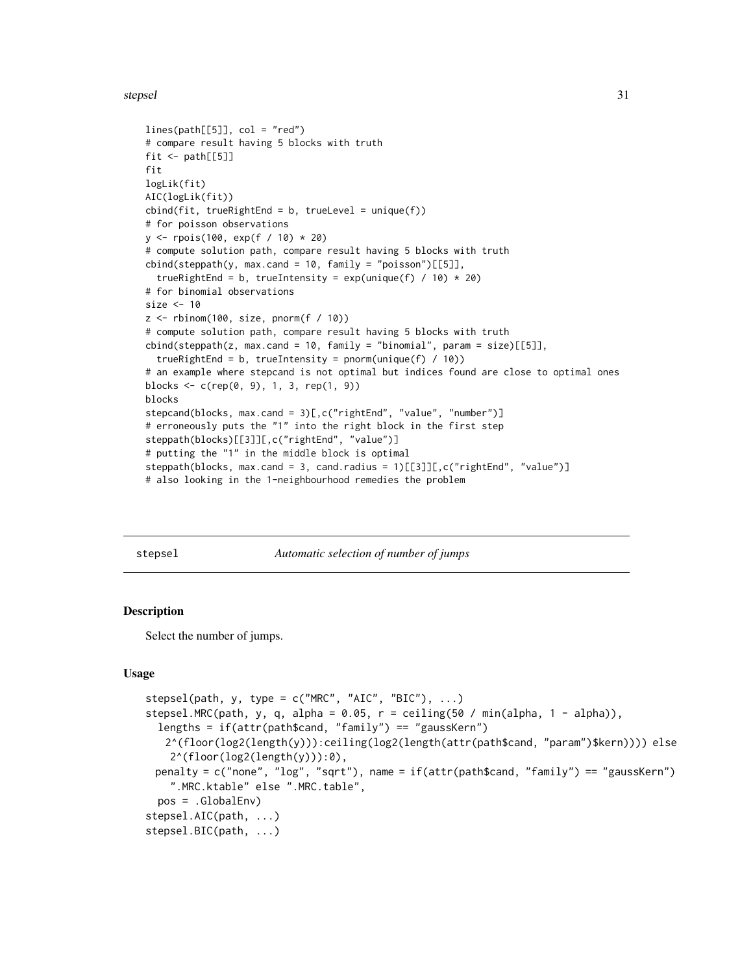#### <span id="page-30-0"></span>stepsel 31

```
lines(path[[5]], col = "red")# compare result having 5 blocks with truth
fit \leftarrow path[[5]]
fit
logLik(fit)
AIC(logLik(fit))
cbind(fit, trueRightEnd = b, trueLevel = unique(f))# for poisson observations
y <- rpois(100, exp(f / 10) * 20)
# compute solution path, compare result having 5 blocks with truth
cbind(steppath(y, max.cand = 10, family = "poisson")[[5]],
  trueRightEnd = b, trueIntensity = exp(unique(f) / 10) * 20)# for binomial observations
size <- 10
z \le rbinom(100, size, pnorm(f / 10))
# compute solution path, compare result having 5 blocks with truth
cbind(steppath(z, max.cand = 10, family = "binomial", param = size)[[5]],
  trueRightEnd = b, trueIntensity = pnorm(unique(f) / 10))
# an example where stepcand is not optimal but indices found are close to optimal ones
blocks <- c(rep(0, 9), 1, 3, rep(1, 9))
blocks
stepcand(blocks, max.cand = 3)[,c("rightEnd", "value", "number")]
# erroneously puts the "1" into the right block in the first step
steppath(blocks)[[3]][,c("rightEnd", "value")]
# putting the "1" in the middle block is optimal
steppath(blocks, max.cand = 3, cand.radius = 1)[[3]][,c("rightEnd", "value")]
# also looking in the 1-neighbourhood remedies the problem
```
<span id="page-30-1"></span>stepsel *Automatic selection of number of jumps*

#### **Description**

Select the number of jumps.

#### Usage

```
stepsel(path, y, type = c("MRC", "AIC", "BIC"), ...)
stepsel.MRC(path, y, q, alpha = 0.05, r = ceiling(50 / min(alpha, 1 - alpha)),
 lengths = if(attr(path$cand, "family") == "gaussKern")
   2^(floor(log2(length(y))):ceiling(log2(length(attr(path$cand, "param")$kern)))) else
   2^(floor(log2(length(y))):0),
 penalty = c("none", "log", "sqrt"), name = if(attr(path$cand, "family") == "gaussKern")
    ".MRC.ktable" else ".MRC.table",
 pos = .GlobalEnv)
stepsel.AIC(path, ...)
stepsel.BIC(path, ...)
```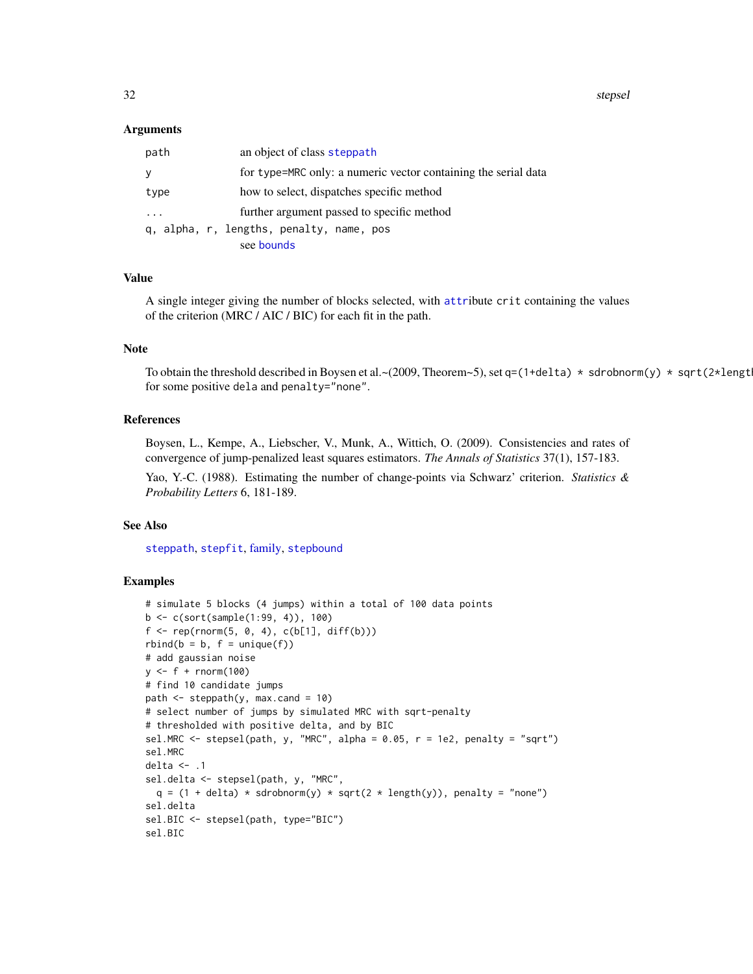<span id="page-31-0"></span>32 stepsel

#### Arguments

| path | an object of class steppath                                    |
|------|----------------------------------------------------------------|
| y    | for type=MRC only: a numeric vector containing the serial data |
| type | how to select, dispatches specific method                      |
| .    | further argument passed to specific method                     |
|      | q, alpha, r, lengths, penalty, name, pos<br>see bounds         |

#### Value

A single integer giving the number of blocks selected, with [attr](#page-0-0)ibute crit containing the values of the criterion (MRC / AIC / BIC) for each fit in the path.

# Note

To obtain the threshold described in Boysen et al.~(2009, Theorem~5), set q=(1+delta) \* sdrobnorm(y) \* sqrt(2\*lengt for some positive dela and penalty="none".

# References

Boysen, L., Kempe, A., Liebscher, V., Munk, A., Wittich, O. (2009). Consistencies and rates of convergence of jump-penalized least squares estimators. *The Annals of Statistics* 37(1), 157-183.

Yao, Y.-C. (1988). Estimating the number of change-points via Schwarz' criterion. *Statistics & Probability Letters* 6, 181-189.

# See Also

[steppath](#page-28-1), [stepfit](#page-26-1), [family,](#page-9-1) [stepbound](#page-23-1)

```
# simulate 5 blocks (4 jumps) within a total of 100 data points
b <- c(sort(sample(1:99, 4)), 100)
f \leq -\text{rep}(\text{rnorm}(5, 0, 4), \text{c}(b[1], diff(b)))rbind(b = b, f = unique(f))# add gaussian noise
y \leftarrow f + \text{rnorm}(100)# find 10 candidate jumps
path \leq steppath(y, max.cand = 10)
# select number of jumps by simulated MRC with sqrt-penalty
# thresholded with positive delta, and by BIC
sel.MRC <- stepsel(path, y, "MRC", alpha = 0.05, r = 1e2, penalty = "sqrt")
sel.MRC
delta \leftarrow .1
sel.delta <- stepsel(path, y, "MRC",
  q = (1 + delta) * sdrobnorm(y) * sqrt(2 * length(y)), penalty = "none")sel.delta
sel.BIC <- stepsel(path, type="BIC")
sel.BIC
```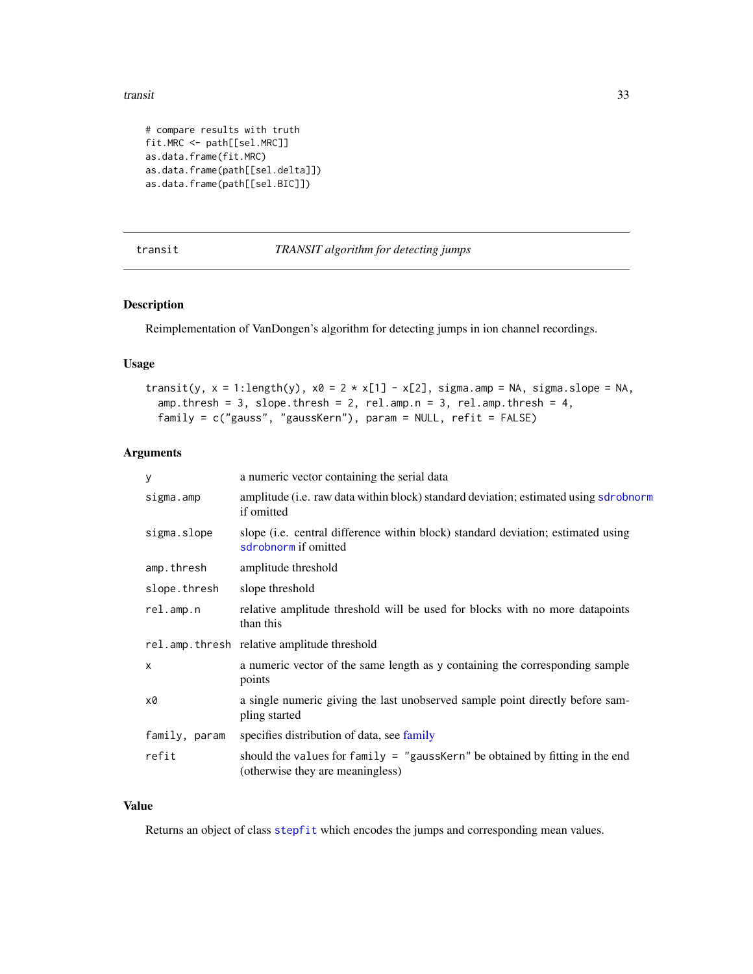<span id="page-32-0"></span>transit 33

```
# compare results with truth
fit.MRC <- path[[sel.MRC]]
as.data.frame(fit.MRC)
as.data.frame(path[[sel.delta]])
as.data.frame(path[[sel.BIC]])
```

```
transit TRANSIT algorithm for detecting jumps
```
# Description

Reimplementation of VanDongen's algorithm for detecting jumps in ion channel recordings.

# Usage

```
transit(y, x = 1:length(y), x0 = 2 \times x[1] - x[2], sigma.amp = NA, sigma.slope = NA,
  amp. thresh = 3, slope.thresh = 2, rel.amp.n = 3, rel.amp.thresh = 4,
  family = c("gauss", "gaussKern"), param = NULL, refit = FALSE)
```
# Arguments

| У             | a numeric vector containing the serial data                                                                        |
|---------------|--------------------------------------------------------------------------------------------------------------------|
| sigma.amp     | amplitude (i.e. raw data within block) standard deviation; estimated using sdrobnorm<br>if omitted                 |
| sigma.slope   | slope (i.e. central difference within block) standard deviation; estimated using<br>sdrobnorm if omitted           |
| amp.thresh    | amplitude threshold                                                                                                |
| slope.thresh  | slope threshold                                                                                                    |
| relamp.n      | relative amplitude threshold will be used for blocks with no more datapoints<br>than this                          |
|               | rel.amp.thresh relative amplitude threshold                                                                        |
| $\mathsf{x}$  | a numeric vector of the same length as y containing the corresponding sample<br>points                             |
| x0            | a single numeric giving the last unobserved sample point directly before sam-<br>pling started                     |
| family, param | specifies distribution of data, see family                                                                         |
| refit         | should the values for $family = "gaussKern"$ be obtained by fitting in the end<br>(otherwise they are meaningless) |

# Value

Returns an object of class [stepfit](#page-26-1) which encodes the jumps and corresponding mean values.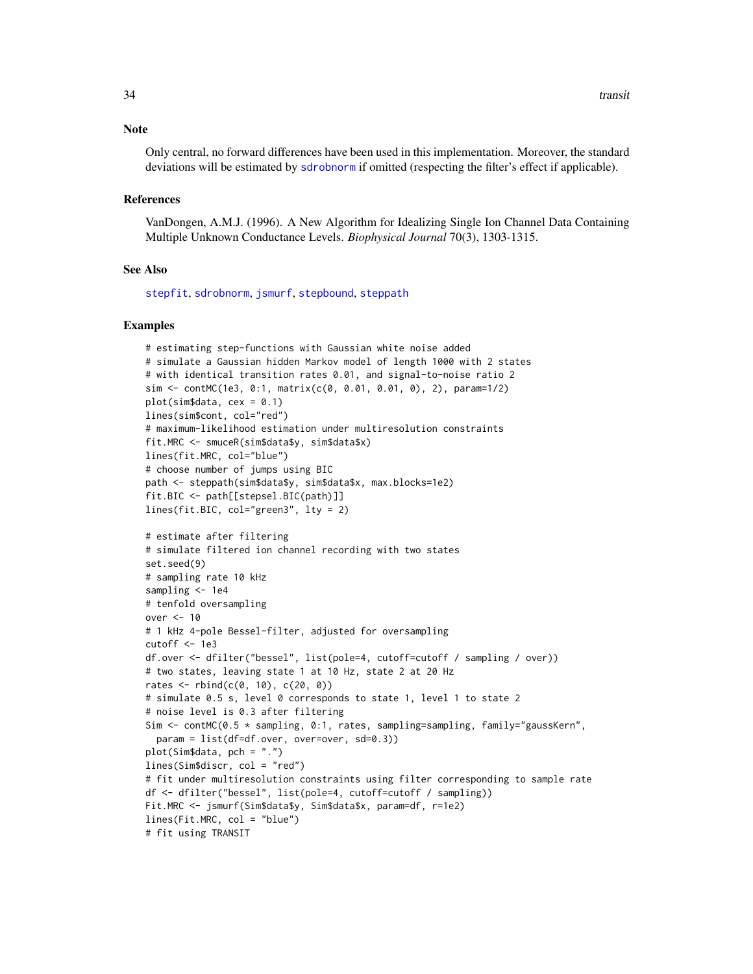#### <span id="page-33-0"></span>**Note**

Only central, no forward differences have been used in this implementation. Moreover, the standard deviations will be estimated by [sdrobnorm](#page-18-1) if omitted (respecting the filter's effect if applicable).

#### References

VanDongen, A.M.J. (1996). A New Algorithm for Idealizing Single Ion Channel Data Containing Multiple Unknown Conductance Levels. *Biophysical Journal* 70(3), 1303-1315.

# See Also

[stepfit](#page-26-1), [sdrobnorm](#page-18-1), [jsmurf](#page-11-1), [stepbound](#page-23-1), [steppath](#page-28-1)

```
# estimating step-functions with Gaussian white noise added
# simulate a Gaussian hidden Markov model of length 1000 with 2 states
# with identical transition rates 0.01, and signal-to-noise ratio 2
sim <- contMC(1e3, 0:1, matrix(c(0, 0.01, 0.01, 0), 2), param=1/2)
plot(sim$data, cex = 0.1)
lines(sim$cont, col="red")
# maximum-likelihood estimation under multiresolution constraints
fit.MRC <- smuceR(sim$data$y, sim$data$x)
lines(fit.MRC, col="blue")
# choose number of jumps using BIC
path <- steppath(sim$data$y, sim$data$x, max.blocks=1e2)
fit.BIC <- path[[stepsel.BIC(path)]]
lines(fit.BIC, col="green3", lty = 2)
# estimate after filtering
# simulate filtered ion channel recording with two states
set.seed(9)
# sampling rate 10 kHz
sampling <- 1e4
# tenfold oversampling
over <- 10
# 1 kHz 4-pole Bessel-filter, adjusted for oversampling
cutoff <- 1e3
df.over <- dfilter("bessel", list(pole=4, cutoff=cutoff / sampling / over))
# two states, leaving state 1 at 10 Hz, state 2 at 20 Hz
rates \le rbind(c(0, 10), c(20, 0))
# simulate 0.5 s, level 0 corresponds to state 1, level 1 to state 2
# noise level is 0.3 after filtering
Sim <- contMC(0.5 * sampling, 0:1, rates, sampling=sampling, family="gaussKern",
  param = list(df=df.over, over=over, sd=0.3))
plot(Sim$data, pch = ".")
lines(Sim$discr, col = "red")
# fit under multiresolution constraints using filter corresponding to sample rate
df <- dfilter("bessel", list(pole=4, cutoff=cutoff / sampling))
Fit.MRC <- jsmurf(Sim$data$y, Sim$data$x, param=df, r=1e2)
lines(Fit.MRC, col = "blue")
# fit using TRANSIT
```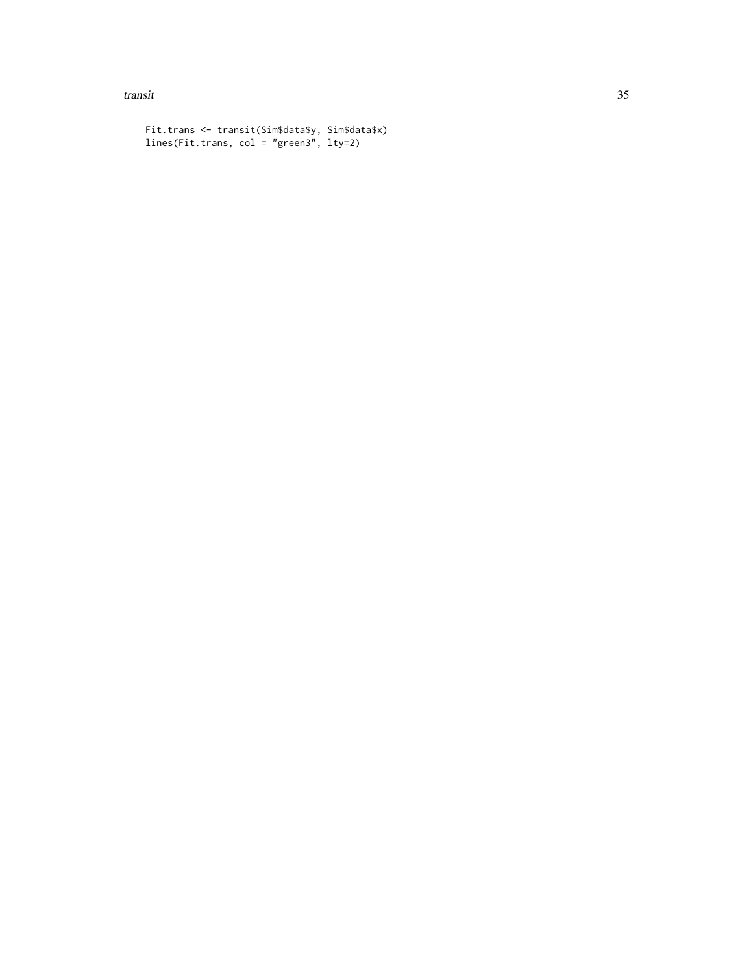transit 35

```
Fit.trans <- transit(Sim$data$y, Sim$data$x)
lines(Fit.trans, col = "green3", lty=2)
```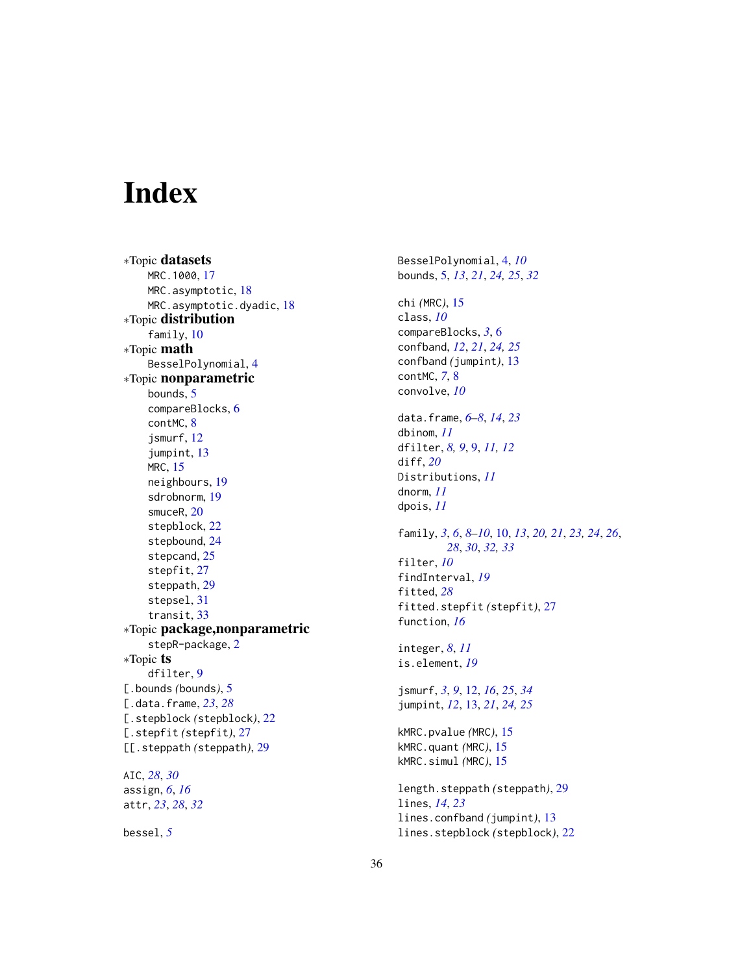# <span id="page-35-0"></span>Index

∗Topic datasets MRC.1000, [17](#page-16-0) MRC.asymptotic, [18](#page-17-0) MRC.asymptotic.dyadic, [18](#page-17-0) ∗Topic distribution family, [10](#page-9-0) ∗Topic math BesselPolynomial, [4](#page-3-0) ∗Topic nonparametric bounds, [5](#page-4-0) compareBlocks, [6](#page-5-0) contMC, [8](#page-7-0) jsmurf, [12](#page-11-0) jumpint, [13](#page-12-0) MRC, [15](#page-14-0) neighbours, [19](#page-18-0) sdrobnorm, [19](#page-18-0) smuceR, [20](#page-19-0) stepblock, [22](#page-21-0) stepbound, [24](#page-23-0) stepcand, [25](#page-24-0) stepfit, [27](#page-26-0) steppath, [29](#page-28-0) stepsel, [31](#page-30-0) transit, [33](#page-32-0) ∗Topic package,nonparametric stepR-package, [2](#page-1-0) ∗Topic ts dfilter, [9](#page-8-0) [.bounds *(*bounds*)*, [5](#page-4-0) [.data.frame, *[23](#page-22-0)*, *[28](#page-27-0)* [.stepblock *(*stepblock*)*, [22](#page-21-0) [.stepfit *(*stepfit*)*, [27](#page-26-0) [[.steppath *(*steppath*)*, [29](#page-28-0) AIC, *[28](#page-27-0)*, *[30](#page-29-0)* assign, *[6](#page-5-0)*, *[16](#page-15-0)* attr, *[23](#page-22-0)*, *[28](#page-27-0)*, *[32](#page-31-0)*

bessel, *[5](#page-4-0)*

BesselPolynomial, [4,](#page-3-0) *[10](#page-9-0)* bounds, [5,](#page-4-0) *[13](#page-12-0)*, *[21](#page-20-0)*, *[24,](#page-23-0) [25](#page-24-0)*, *[32](#page-31-0)* chi *(*MRC*)*, [15](#page-14-0) class, *[10](#page-9-0)* compareBlocks, *[3](#page-2-0)*, [6](#page-5-0) confband, *[12](#page-11-0)*, *[21](#page-20-0)*, *[24,](#page-23-0) [25](#page-24-0)* confband *(*jumpint*)*, [13](#page-12-0) contMC, *[7](#page-6-0)*, [8](#page-7-0) convolve, *[10](#page-9-0)* data.frame, *[6](#page-5-0)[–8](#page-7-0)*, *[14](#page-13-0)*, *[23](#page-22-0)* dbinom, *[11](#page-10-0)* dfilter, *[8,](#page-7-0) [9](#page-8-0)*, [9,](#page-8-0) *[11,](#page-10-0) [12](#page-11-0)* diff, *[20](#page-19-0)* Distributions, *[11](#page-10-0)* dnorm, *[11](#page-10-0)* dpois, *[11](#page-10-0)* family, *[3](#page-2-0)*, *[6](#page-5-0)*, *[8](#page-7-0)[–10](#page-9-0)*, [10,](#page-9-0) *[13](#page-12-0)*, *[20,](#page-19-0) [21](#page-20-0)*, *[23,](#page-22-0) [24](#page-23-0)*, *[26](#page-25-0)*, *[28](#page-27-0)*, *[30](#page-29-0)*, *[32,](#page-31-0) [33](#page-32-0)* filter, *[10](#page-9-0)* findInterval, *[19](#page-18-0)* fitted, *[28](#page-27-0)* fitted.stepfit *(*stepfit*)*, [27](#page-26-0) function, *[16](#page-15-0)* integer, *[8](#page-7-0)*, *[11](#page-10-0)* is.element, *[19](#page-18-0)* jsmurf, *[3](#page-2-0)*, *[9](#page-8-0)*, [12,](#page-11-0) *[16](#page-15-0)*, *[25](#page-24-0)*, *[34](#page-33-0)* jumpint, *[12](#page-11-0)*, [13,](#page-12-0) *[21](#page-20-0)*, *[24,](#page-23-0) [25](#page-24-0)* kMRC.pvalue *(*MRC*)*, [15](#page-14-0) kMRC.quant *(*MRC*)*, [15](#page-14-0) kMRC.simul *(*MRC*)*, [15](#page-14-0) length.steppath *(*steppath*)*, [29](#page-28-0)

lines, *[14](#page-13-0)*, *[23](#page-22-0)* lines.confband *(*jumpint*)*, [13](#page-12-0) lines.stepblock *(*stepblock*)*, [22](#page-21-0)